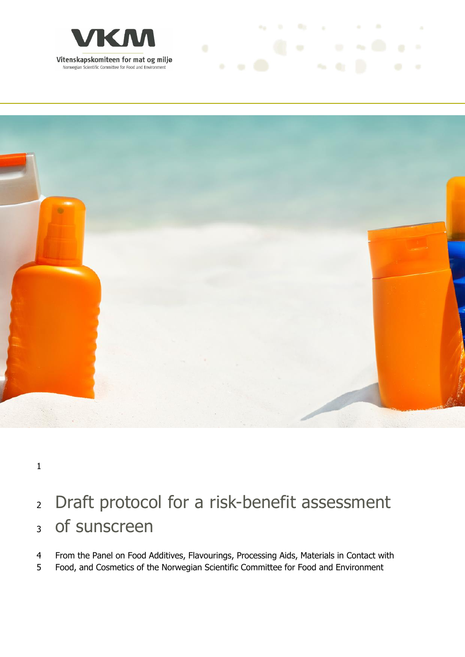



**ALCOHOL: NO CARD AT ANY** 

## Draft protocol for a risk-benefit assessment of sunscreen

- From the Panel on Food Additives, Flavourings, Processing Aids, Materials in Contact with
- Food, and Cosmetics of the Norwegian Scientific Committee for Food and Environment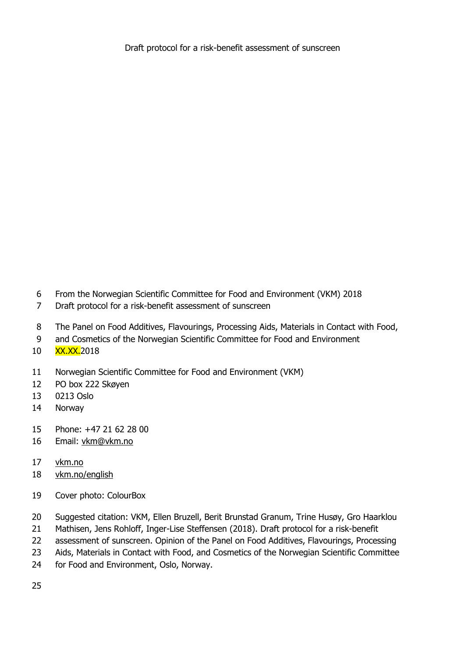- From the Norwegian Scientific Committee for Food and Environment (VKM) 2018
- Draft protocol for a risk-benefit assessment of sunscreen
- The Panel on Food Additives, Flavourings, Processing Aids, Materials in Contact with Food,
- and Cosmetics of the Norwegian Scientific Committee for Food and Environment
- 10 XX.XX.2018
- Norwegian Scientific Committee for Food and Environment (VKM)
- PO box 222 Skøyen
- 0213 Oslo
- Norway
- Phone: +47 21 62 28 00
- Email: [vkm@vkm.no](mailto:vkm@vkm.no)
- [vkm.no](https://vkm.no/)
- [vkm.no/english](https://vkm.no/english)
- Cover photo: ColourBox
- Suggested citation: VKM, Ellen Bruzell, Berit Brunstad Granum, Trine Husøy, Gro Haarklou
- Mathisen, Jens Rohloff, Inger-Lise Steffensen (2018). Draft protocol for a risk-benefit
- 22 assessment of sunscreen. Opinion of the Panel on Food Additives, Flavourings, Processing
- Aids, Materials in Contact with Food, and Cosmetics of the Norwegian Scientific Committee
- for Food and Environment, Oslo, Norway.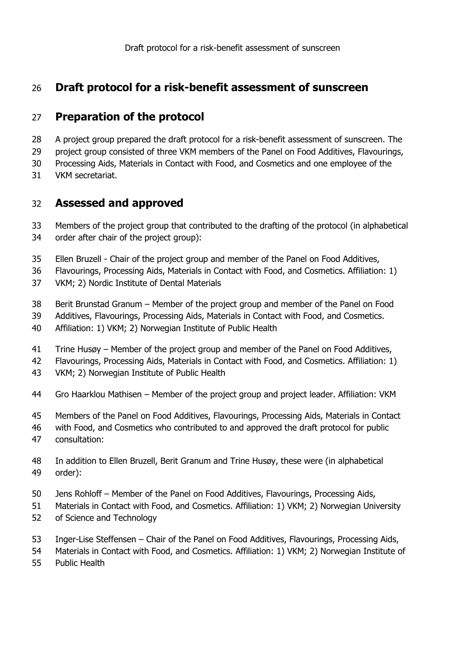#### **Preparation of the protocol**

- A project group prepared the draft protocol for a risk-benefit assessment of sunscreen. The
- 29 project group consisted of three VKM members of the Panel on Food Additives, Flavourings,

Processing Aids, Materials in Contact with Food, and Cosmetics and one employee of the

VKM secretariat.

#### **Assessed and approved**

- Members of the project group that contributed to the drafting of the protocol (in alphabetical
- order after chair of the project group):
- Ellen Bruzell Chair of the project group and member of the Panel on Food Additives,
- Flavourings, Processing Aids, Materials in Contact with Food, and Cosmetics. Affiliation: 1)
- VKM; 2) Nordic Institute of Dental Materials
- Berit Brunstad Granum Member of the project group and member of the Panel on Food
- Additives, Flavourings, Processing Aids, Materials in Contact with Food, and Cosmetics.
- Affiliation: 1) VKM; 2) Norwegian Institute of Public Health
- Trine Husøy Member of the project group and member of the Panel on Food Additives,
- Flavourings, Processing Aids, Materials in Contact with Food, and Cosmetics. Affiliation: 1)
- VKM; 2) Norwegian Institute of Public Health
- Gro Haarklou Mathisen Member of the project group and project leader. Affiliation: VKM
- Members of the Panel on Food Additives, Flavourings, Processing Aids, Materials in Contact
- with Food, and Cosmetics who contributed to and approved the draft protocol for public
- consultation:
- In addition to Ellen Bruzell, Berit Granum and Trine Husøy, these were (in alphabetical order):
- Jens Rohloff Member of the Panel on Food Additives, Flavourings, Processing Aids,
- Materials in Contact with Food, and Cosmetics. Affiliation: 1) VKM; 2) Norwegian University
- of Science and Technology
- Inger-Lise Steffensen Chair of the Panel on Food Additives, Flavourings, Processing Aids,
- Materials in Contact with Food, and Cosmetics. Affiliation: 1) VKM; 2) Norwegian Institute of
- Public Health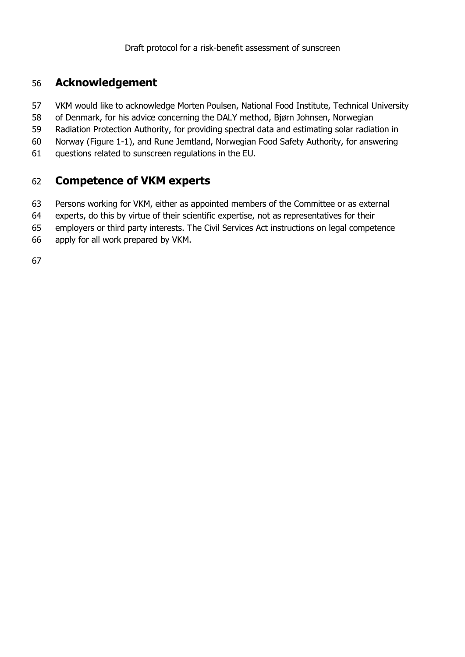#### **Acknowledgement**

- VKM would like to acknowledge Morten Poulsen, National Food Institute, Technical University
- of Denmark, for his advice concerning the DALY method, Bjørn Johnsen, Norwegian
- Radiation Protection Authority, for providing spectral data and estimating solar radiation in
- Norway (Figure 1-1), and Rune Jemtland, Norwegian Food Safety Authority, for answering
- questions related to sunscreen regulations in the EU.

#### **Competence of VKM experts**

- Persons working for VKM, either as appointed members of the Committee or as external
- experts, do this by virtue of their scientific expertise, not as representatives for their
- employers or third party interests. The Civil Services Act instructions on legal competence
- apply for all work prepared by VKM.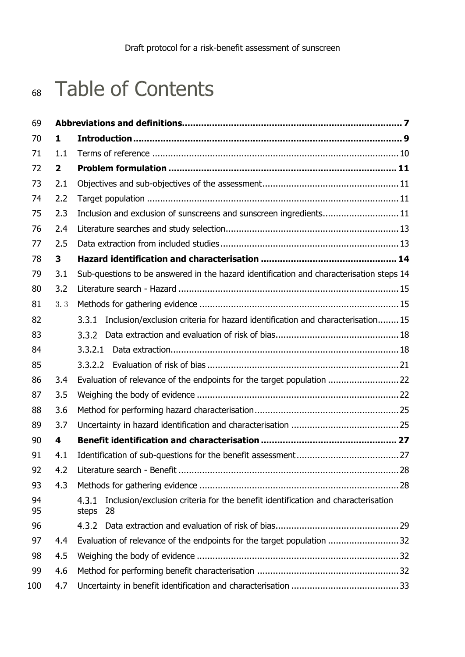## Table of Contents

| 69       |                |                                                                                                          |  |  |  |  |
|----------|----------------|----------------------------------------------------------------------------------------------------------|--|--|--|--|
| 70       | $\mathbf{1}$   |                                                                                                          |  |  |  |  |
| 71       | 1.1            |                                                                                                          |  |  |  |  |
| 72       | $\overline{2}$ |                                                                                                          |  |  |  |  |
| 73       | 2.1            |                                                                                                          |  |  |  |  |
| 74       | 2.2            |                                                                                                          |  |  |  |  |
| 75       | 2.3            | Inclusion and exclusion of sunscreens and sunscreen ingredients 11                                       |  |  |  |  |
| 76       | 2.4            |                                                                                                          |  |  |  |  |
| 77       | 2.5            |                                                                                                          |  |  |  |  |
| 78       | 3              |                                                                                                          |  |  |  |  |
| 79       | 3.1            | Sub-questions to be answered in the hazard identification and characterisation steps 14                  |  |  |  |  |
| 80       | 3.2            |                                                                                                          |  |  |  |  |
| 81       | 3.3            |                                                                                                          |  |  |  |  |
| 82       |                | Inclusion/exclusion criteria for hazard identification and characterisation15<br>3.3.1                   |  |  |  |  |
| 83       |                | 3.3.2                                                                                                    |  |  |  |  |
| 84       |                | 3.3.2.1                                                                                                  |  |  |  |  |
| 85       |                |                                                                                                          |  |  |  |  |
| 86       | 3.4            | Evaluation of relevance of the endpoints for the target population  22                                   |  |  |  |  |
| 87       | 3.5            |                                                                                                          |  |  |  |  |
| 88       | 3.6            |                                                                                                          |  |  |  |  |
| 89       | 3.7            |                                                                                                          |  |  |  |  |
| 90       | 4              |                                                                                                          |  |  |  |  |
| 91       | 4.1            |                                                                                                          |  |  |  |  |
| 92       | 4.2            |                                                                                                          |  |  |  |  |
| 93       | 4.3            |                                                                                                          |  |  |  |  |
| 94<br>95 |                | Inclusion/exclusion criteria for the benefit identification and characterisation<br>4.3.1<br>steps<br>28 |  |  |  |  |
| 96       |                |                                                                                                          |  |  |  |  |
| 97       | 4.4            | Evaluation of relevance of the endpoints for the target population 32                                    |  |  |  |  |
| 98       | 4.5            |                                                                                                          |  |  |  |  |
| 99       | 4.6            |                                                                                                          |  |  |  |  |
| 100      | 4.7            |                                                                                                          |  |  |  |  |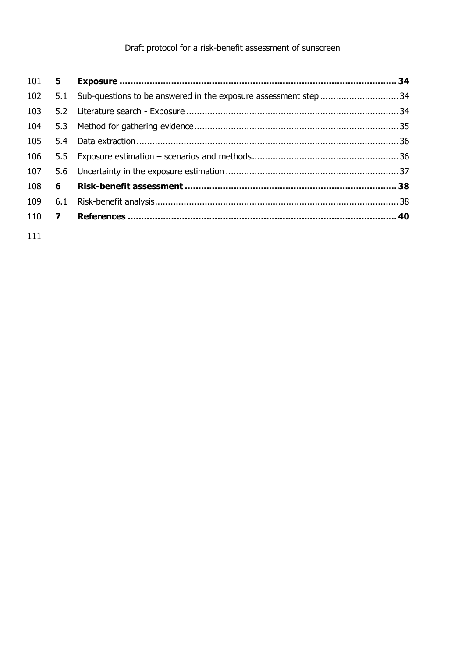| $101$ 5      |     |                                                                     |  |
|--------------|-----|---------------------------------------------------------------------|--|
| 102          |     | 5.1 Sub-questions to be answered in the exposure assessment step 34 |  |
| 103          |     |                                                                     |  |
| 104          |     |                                                                     |  |
| 105          | 5.4 |                                                                     |  |
| 106          |     |                                                                     |  |
| 107          |     |                                                                     |  |
| 108          | 6   |                                                                     |  |
| 109          | 6.1 |                                                                     |  |
| 110 <b>7</b> |     |                                                                     |  |
|              |     |                                                                     |  |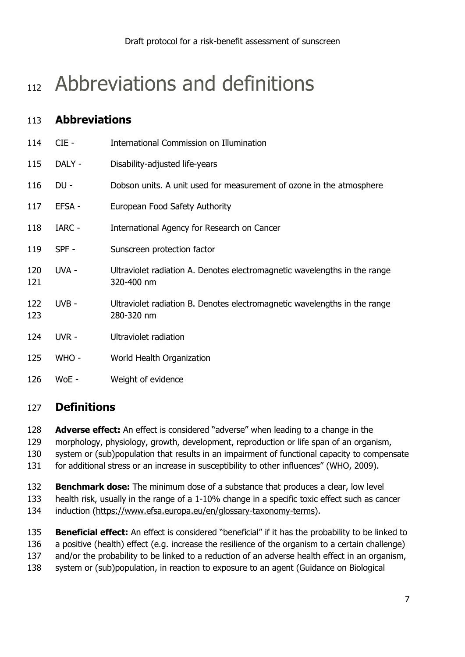## <span id="page-6-0"></span>112 Abbreviations and definitions

## **Abbreviations**

| 114        | $CIE -$ | International Commission on Illumination                                                |
|------------|---------|-----------------------------------------------------------------------------------------|
| 115        | DALY -  | Disability-adjusted life-years                                                          |
| 116        | DU -    | Dobson units. A unit used for measurement of ozone in the atmosphere                    |
| 117        | EFSA -  | European Food Safety Authority                                                          |
| 118        | IARC -  | International Agency for Research on Cancer                                             |
| 119        | SPF-    | Sunscreen protection factor                                                             |
| 120<br>121 | UVA -   | Ultraviolet radiation A. Denotes electromagnetic wavelengths in the range<br>320-400 nm |
| 122<br>123 | UVB-    | Ultraviolet radiation B. Denotes electromagnetic wavelengths in the range<br>280-320 nm |
| 124        | UVR -   | Ultraviolet radiation                                                                   |
| 125        | WHO -   | World Health Organization                                                               |
| 126        | WoE -   | Weight of evidence                                                                      |
|            |         |                                                                                         |

#### **Definitions**

- **Adverse effect:** An effect is considered "adverse" when leading to a change in the
- morphology, physiology, growth, development, reproduction or life span of an organism,
- system or (sub)population that results in an impairment of functional capacity to compensate
- for additional stress or an increase in susceptibility to other influences" (WHO, 2009).
- **Benchmark dose:** The minimum dose of a substance that produces a clear, low level
- health risk, usually in the range of a 1-10% change in a specific toxic effect such as cancer
- 134 induction [\(https://www.efsa.europa.eu/en/glossary-taxonomy-terms\)](https://www.efsa.europa.eu/en/glossary-taxonomy-terms).

 **Beneficial effect:** An effect is considered "beneficial" if it has the probability to be linked to a positive (health) effect (e.g. increase the resilience of the organism to a certain challenge) 137 and/or the probability to be linked to a reduction of an adverse health effect in an organism,

system or (sub)population, in reaction to exposure to an agent (Guidance on Biological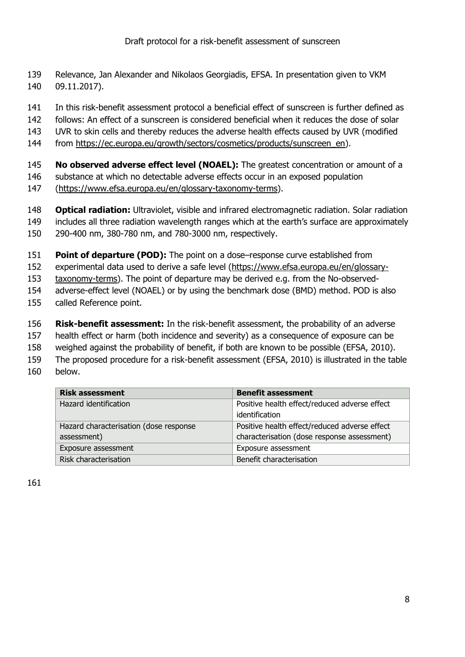- Relevance, Jan Alexander and Nikolaos Georgiadis, EFSA. In presentation given to VKM 09.11.2017).
- In this risk-benefit assessment protocol a beneficial effect of sunscreen is further defined as
- follows: An effect of a sunscreen is considered beneficial when it reduces the dose of solar
- UVR to skin cells and thereby reduces the adverse health effects caused by UVR (modified
- from [https://ec.europa.eu/growth/sectors/cosmetics/products/sunscreen\\_en\)](https://ec.europa.eu/growth/sectors/cosmetics/products/sunscreen_en).
- **No observed adverse effect level (NOAEL):** The greatest concentration or amount of a substance at which no detectable adverse effects occur in an exposed population
- [\(https://www.efsa.europa.eu/en/glossary-taxonomy-terms\)](https://www.efsa.europa.eu/en/glossary-taxonomy-terms).

 **Optical radiation:** Ultraviolet, visible and infrared electromagnetic radiation. Solar radiation includes all three radiation wavelength ranges which at the earth's surface are approximately 290-400 nm, 380-780 nm, and 780-3000 nm, respectively.

- **Point of departure (POD):** The point on a dose–response curve established from
- experimental data used to derive a safe level [\(https://www.efsa.europa.eu/en/glossary-](https://www.efsa.europa.eu/en/glossary-taxonomy-terms)
- [taxonomy-terms\)](https://www.efsa.europa.eu/en/glossary-taxonomy-terms). The point of departure may be derived e.g. from the No-observed-
- adverse-effect level (NOAEL) or by using the benchmark dose (BMD) method. POD is also
- called Reference point.
- **Risk-benefit assessment:** In the risk-benefit assessment, the probability of an adverse
- health effect or harm (both incidence and severity) as a consequence of exposure can be
- weighed against the probability of benefit, if both are known to be possible (EFSA, 2010).
- The proposed procedure for a risk-benefit assessment (EFSA, 2010) is illustrated in the table below.

| <b>Risk assessment</b>                 | <b>Benefit assessment</b>                     |
|----------------------------------------|-----------------------------------------------|
| Hazard identification                  | Positive health effect/reduced adverse effect |
|                                        | identification                                |
| Hazard characterisation (dose response | Positive health effect/reduced adverse effect |
| assessment)                            | characterisation (dose response assessment)   |
| Exposure assessment                    | Exposure assessment                           |
| Risk characterisation                  | Benefit characterisation                      |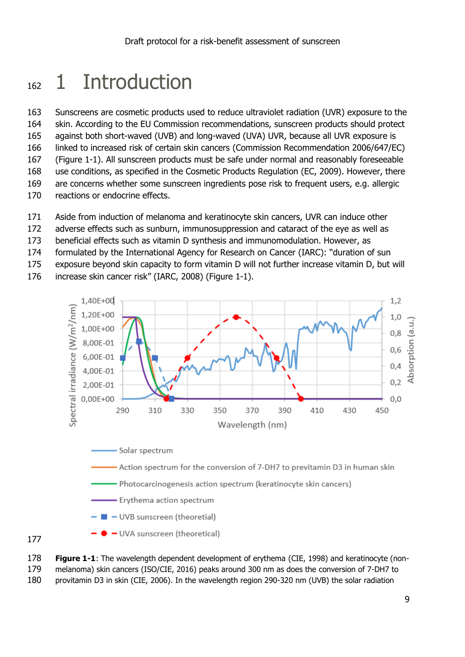## <span id="page-8-0"></span>162 1 Introduction

 Sunscreens are cosmetic products used to reduce ultraviolet radiation (UVR) exposure to the skin. According to the EU Commission recommendations, sunscreen products should protect against both short-waved (UVB) and long-waved (UVA) UVR, because all UVR exposure is linked to increased risk of certain skin cancers (Commission Recommendation 2006/647/EC) (Figure 1-1). All sunscreen products must be safe under normal and reasonably foreseeable use conditions, as specified in the Cosmetic Products Regulation (EC, 2009). However, there are concerns whether some sunscreen ingredients pose risk to frequent users, e.g. allergic reactions or endocrine effects.

- Aside from induction of melanoma and keratinocyte skin cancers, UVR can induce other
- adverse effects such as sunburn, immunosuppression and cataract of the eye as well as
- beneficial effects such as vitamin D synthesis and immunomodulation. However, as
- formulated by the International Agency for Research on Cancer (IARC): "duration of sun
- exposure beyond skin capacity to form vitamin D will not further increase vitamin D, but will
- increase skin cancer risk" (IARC, 2008) (Figure 1-1).



- UVA sunscreen (theoretical)

 **Figure 1-1**: The wavelength dependent development of erythema (CIE, 1998) and keratinocyte (non-melanoma) skin cancers (ISO/CIE, 2016) peaks around 300 nm as does the conversion of 7-DH7 to

provitamin D3 in skin (CIE, 2006). In the wavelength region 290-320 nm (UVB) the solar radiation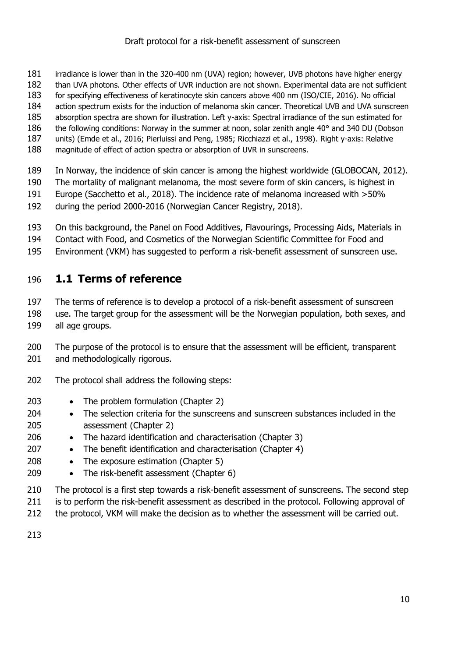- irradiance is lower than in the 320-400 nm (UVA) region; however, UVB photons have higher energy
- than UVA photons. Other effects of UVR induction are not shown. Experimental data are not sufficient
- for specifying effectiveness of keratinocyte skin cancers above 400 nm (ISO/CIE, 2016). No official
- action spectrum exists for the induction of melanoma skin cancer. Theoretical UVB and UVA sunscreen
- absorption spectra are shown for illustration. Left y-axis: Spectral irradiance of the sun estimated for
- 186 the following conditions: Norway in the summer at noon, solar zenith angle 40° and 340 DU (Dobson
- units) (Emde et al., 2016; Pierluissi and Peng, 1985; Ricchiazzi et al., 1998). Right y-axis: Relative magnitude of effect of action spectra or absorption of UVR in sunscreens.
- In Norway, the incidence of skin cancer is among the highest worldwide (GLOBOCAN, 2012).
- The mortality of malignant melanoma, the most severe form of skin cancers, is highest in
- Europe (Sacchetto et al., 2018). The incidence rate of melanoma increased with >50%
- during the period 2000-2016 (Norwegian Cancer Registry, 2018).
- On this background, the Panel on Food Additives, Flavourings, Processing Aids, Materials in
- Contact with Food, and Cosmetics of the Norwegian Scientific Committee for Food and
- Environment (VKM) has suggested to perform a risk-benefit assessment of sunscreen use.

### <span id="page-9-0"></span>**1.1 Terms of reference**

- The terms of reference is to develop a protocol of a risk-benefit assessment of sunscreen
- use. The target group for the assessment will be the Norwegian population, both sexes, and all age groups.
- 200 The purpose of the protocol is to ensure that the assessment will be efficient, transparent 201 and methodologically rigorous.
- The protocol shall address the following steps:
- 203 The problem formulation (Chapter 2)
- The selection criteria for the sunscreens and sunscreen substances included in the assessment (Chapter 2)
- 206 The hazard identification and characterisation (Chapter 3)
- 207 The benefit identification and characterisation (Chapter 4)
- 208 The exposure estimation (Chapter 5)
- 209 The risk-benefit assessment (Chapter 6)
- The protocol is a first step towards a risk-benefit assessment of sunscreens. The second step
- 211 is to perform the risk-benefit assessment as described in the protocol. Following approval of
- 212 the protocol, VKM will make the decision as to whether the assessment will be carried out.
-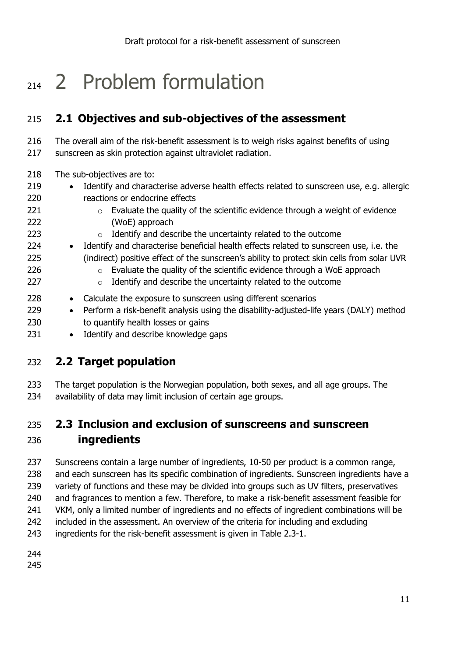## <span id="page-10-0"></span>2 Problem formulation

## <span id="page-10-1"></span>**2.1 Objectives and sub-objectives of the assessment**

 The overall aim of the risk-benefit assessment is to weigh risks against benefits of using 217 sunscreen as skin protection against ultraviolet radiation.

- The sub-objectives are to:
- 219 Identify and characterise adverse health effects related to sunscreen use, e.g. allergic reactions or endocrine effects
- o Evaluate the quality of the scientific evidence through a weight of evidence (WoE) approach
- o Identify and describe the uncertainty related to the outcome
- 224 Identify and characterise beneficial health effects related to sunscreen use, i.e. the (indirect) positive effect of the sunscreen's ability to protect skin cells from solar UVR
- **b Evaluate the quality of the scientific evidence through a WoE approach**
- 227  $\circ$  Identify and describe the uncertainty related to the outcome
- 228 Calculate the exposure to sunscreen using different scenarios
- 229 Perform a risk-benefit analysis using the disability-adjusted-life years (DALY) method 230 to quantify health losses or gains
- 231 Identify and describe knowledge gaps

#### <span id="page-10-2"></span>**2.2 Target population**

 The target population is the Norwegian population, both sexes, and all age groups. The availability of data may limit inclusion of certain age groups.

## <span id="page-10-3"></span> **2.3 Inclusion and exclusion of sunscreens and sunscreen ingredients**

 Sunscreens contain a large number of ingredients, 10-50 per product is a common range, 238 and each sunscreen has its specific combination of ingredients. Sunscreen ingredients have a 239 variety of functions and these may be divided into groups such as UV filters, preservatives 240 and fragrances to mention a few. Therefore, to make a risk-benefit assessment feasible for VKM, only a limited number of ingredients and no effects of ingredient combinations will be included in the assessment. An overview of the criteria for including and excluding ingredients for the risk-benefit assessment is given in Table 2.3-1.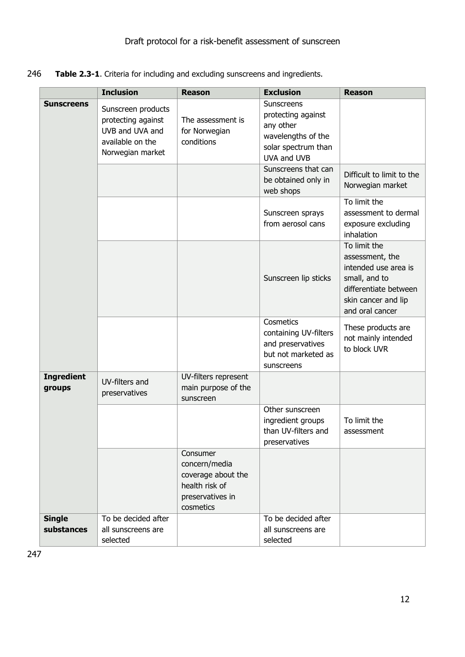246 **Table 2.3-1**. Criteria for including and excluding sunscreens and ingredients.

|                             | <b>Inclusion</b>                                                                                    | <b>Reason</b>                                                                                      | <b>Exclusion</b>                                                                                                 | <b>Reason</b>                                                                                                                               |
|-----------------------------|-----------------------------------------------------------------------------------------------------|----------------------------------------------------------------------------------------------------|------------------------------------------------------------------------------------------------------------------|---------------------------------------------------------------------------------------------------------------------------------------------|
| <b>Sunscreens</b>           | Sunscreen products<br>protecting against<br>UVB and UVA and<br>available on the<br>Norwegian market | The assessment is<br>for Norwegian<br>conditions                                                   | Sunscreens<br>protecting against<br>any other<br>wavelengths of the<br>solar spectrum than<br><b>UVA and UVB</b> |                                                                                                                                             |
|                             |                                                                                                     |                                                                                                    | Sunscreens that can<br>be obtained only in<br>web shops                                                          | Difficult to limit to the<br>Norwegian market                                                                                               |
|                             |                                                                                                     |                                                                                                    | Sunscreen sprays<br>from aerosol cans                                                                            | To limit the<br>assessment to dermal<br>exposure excluding<br>inhalation                                                                    |
|                             |                                                                                                     |                                                                                                    | Sunscreen lip sticks                                                                                             | To limit the<br>assessment, the<br>intended use area is<br>small, and to<br>differentiate between<br>skin cancer and lip<br>and oral cancer |
|                             |                                                                                                     |                                                                                                    | Cosmetics<br>containing UV-filters<br>and preservatives<br>but not marketed as<br>sunscreens                     | These products are<br>not mainly intended<br>to block UVR                                                                                   |
| <b>Ingredient</b><br>groups | UV-filters and<br>preservatives                                                                     | UV-filters represent<br>main purpose of the<br>sunscreen                                           |                                                                                                                  |                                                                                                                                             |
|                             |                                                                                                     |                                                                                                    | Other sunscreen<br>ingredient groups<br>than UV-filters and<br>preservatives                                     | To limit the<br>assessment                                                                                                                  |
|                             |                                                                                                     | Consumer<br>concern/media<br>coverage about the<br>health risk of<br>preservatives in<br>cosmetics |                                                                                                                  |                                                                                                                                             |
| <b>Single</b><br>substances | To be decided after<br>all sunscreens are<br>selected                                               |                                                                                                    | To be decided after<br>all sunscreens are<br>selected                                                            |                                                                                                                                             |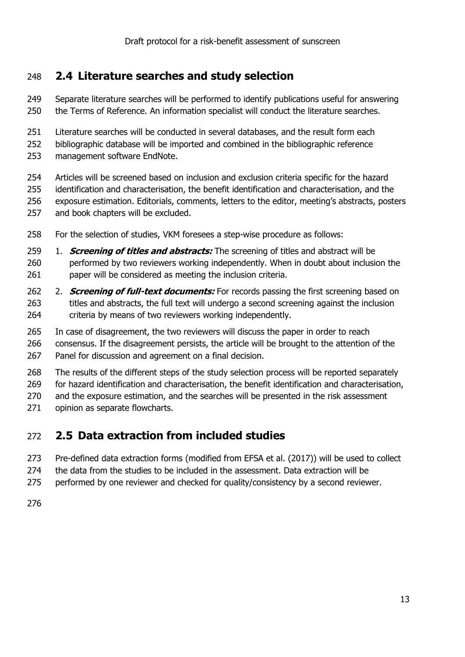### <span id="page-12-0"></span>**2.4 Literature searches and study selection**

- Separate literature searches will be performed to identify publications useful for answering the Terms of Reference. An information specialist will conduct the literature searches.
- 251 Literature searches will be conducted in several databases, and the result form each
- bibliographic database will be imported and combined in the bibliographic reference
- management software EndNote.
- Articles will be screened based on inclusion and exclusion criteria specific for the hazard identification and characterisation, the benefit identification and characterisation, and the exposure estimation. Editorials, comments, letters to the editor, meeting's abstracts, posters and book chapters will be excluded.
- For the selection of studies, VKM foresees a step-wise procedure as follows:
- 1. **Screening of titles and abstracts:** The screening of titles and abstract will be performed by two reviewers working independently. When in doubt about inclusion the 261 paper will be considered as meeting the inclusion criteria.
- 262 2. **Screening of full-text documents:** For records passing the first screening based on 263 titles and abstracts, the full text will undergo a second screening against the inclusion criteria by means of two reviewers working independently.
- In case of disagreement, the two reviewers will discuss the paper in order to reach consensus. If the disagreement persists, the article will be brought to the attention of the Panel for discussion and agreement on a final decision.
- The results of the different steps of the study selection process will be reported separately
- for hazard identification and characterisation, the benefit identification and characterisation,
- and the exposure estimation, and the searches will be presented in the risk assessment
- 271 opinion as separate flowcharts.

#### <span id="page-12-1"></span>**2.5 Data extraction from included studies**

- Pre-defined data extraction forms (modified from EFSA et al. (2017)) will be used to collect
- 274 the data from the studies to be included in the assessment. Data extraction will be
- 275 performed by one reviewer and checked for quality/consistency by a second reviewer.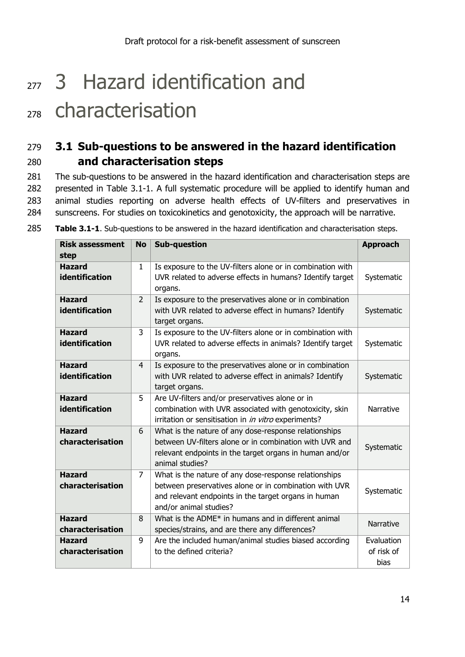# <span id="page-13-0"></span>277 3 Hazard identification and

## <sup>278</sup> characterisation

## <span id="page-13-1"></span>279 **3.1 Sub-questions to be answered in the hazard identification**  280 **and characterisation steps**

281 The sub-questions to be answered in the hazard identification and characterisation steps are 282 presented in Table 3.1-1. A full systematic procedure will be applied to identify human and 283 animal studies reporting on adverse health effects of UV-filters and preservatives in 284 sunscreens. For studies on toxicokinetics and genotoxicity, the approach will be narrative.

| <b>Risk assessment</b><br>step    | <b>No</b>      | <b>Sub-question</b>                                                                                                                                                                               | <b>Approach</b>                  |
|-----------------------------------|----------------|---------------------------------------------------------------------------------------------------------------------------------------------------------------------------------------------------|----------------------------------|
| <b>Hazard</b><br>identification   | $\mathbf{1}$   | Is exposure to the UV-filters alone or in combination with<br>UVR related to adverse effects in humans? Identify target<br>organs.                                                                | Systematic                       |
| <b>Hazard</b><br>identification   | $\overline{2}$ | Is exposure to the preservatives alone or in combination<br>with UVR related to adverse effect in humans? Identify<br>target organs.                                                              | Systematic                       |
| <b>Hazard</b><br>identification   | 3              | Is exposure to the UV-filters alone or in combination with<br>UVR related to adverse effects in animals? Identify target<br>organs.                                                               | Systematic                       |
| <b>Hazard</b><br>identification   | $\overline{4}$ | Is exposure to the preservatives alone or in combination<br>with UVR related to adverse effect in animals? Identify<br>target organs.                                                             | Systematic                       |
| <b>Hazard</b><br>identification   | 5              | Are UV-filters and/or preservatives alone or in<br>combination with UVR associated with genotoxicity, skin<br>irritation or sensitisation in in vitro experiments?                                | Narrative                        |
| <b>Hazard</b><br>characterisation | 6              | What is the nature of any dose-response relationships<br>between UV-filters alone or in combination with UVR and<br>relevant endpoints in the target organs in human and/or<br>animal studies?    | Systematic                       |
| <b>Hazard</b><br>characterisation | 7              | What is the nature of any dose-response relationships<br>between preservatives alone or in combination with UVR<br>and relevant endpoints in the target organs in human<br>and/or animal studies? | Systematic                       |
| <b>Hazard</b><br>characterisation | 8              | What is the ADME* in humans and in different animal<br>species/strains, and are there any differences?                                                                                            | Narrative                        |
| <b>Hazard</b><br>characterisation | 9              | Are the included human/animal studies biased according<br>to the defined criteria?                                                                                                                | Evaluation<br>of risk of<br>bias |

285 **Table 3.1-1**. Sub-questions to be answered in the hazard identification and characterisation steps.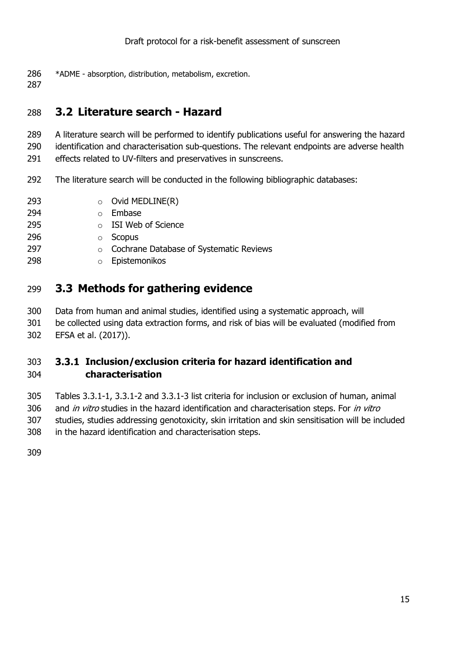- \*ADME absorption, distribution, metabolism, excretion.
- 

### <span id="page-14-0"></span>**3.2 Literature search - Hazard**

- A literature search will be performed to identify publications useful for answering the hazard identification and characterisation sub-questions. The relevant endpoints are adverse health effects related to UV-filters and preservatives in sunscreens.
- The literature search will be conducted in the following bibliographic databases:
- **o** Ovid MEDLINE(R)
- o Embase
- o ISI Web of Science
- o Scopus
- **Cochrane Database of Systematic Reviews**
- o Epistemonikos

### <span id="page-14-1"></span>**3.3 Methods for gathering evidence**

- Data from human and animal studies, identified using a systematic approach, will
- be collected using data extraction forms, and risk of bias will be evaluated (modified from EFSA et al. (2017)).

#### <span id="page-14-2"></span> **Inclusion/exclusion criteria for hazard identification and characterisation**

 Tables 3.3.1-1, 3.3.1-2 and 3.3.1-3 list criteria for inclusion or exclusion of human, animal 306 and in vitro studies in the hazard identification and characterisation steps. For in vitro studies, studies addressing genotoxicity, skin irritation and skin sensitisation will be included in the hazard identification and characterisation steps.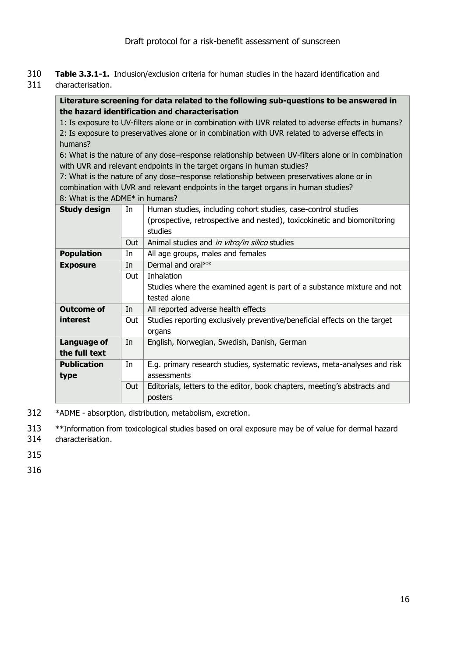- 310 **Table 3.3.1-1.** Inclusion/exclusion criteria for human studies in the hazard identification and
- 311 characterisation.

#### **Literature screening for data related to the following sub-questions to be answered in the hazard identification and characterisation**

1: Is exposure to UV-filters alone or in combination with UVR related to adverse effects in humans? 2: Is exposure to preservatives alone or in combination with UVR related to adverse effects in humans?

6: What is the nature of any dose–response relationship between UV-filters alone or in combination with UVR and relevant endpoints in the target organs in human studies?

7: What is the nature of any dose–response relationship between preservatives alone or in combination with UVR and relevant endpoints in the target organs in human studies? 8: What is the ADME\* in humans?

| <b>Study design</b> | In   | Human studies, including cohort studies, case-control studies             |
|---------------------|------|---------------------------------------------------------------------------|
|                     |      | (prospective, retrospective and nested), toxicokinetic and biomonitoring  |
|                     |      | studies                                                                   |
|                     | Out. | Animal studies and in vitro/in silico studies                             |
| <b>Population</b>   | In   | All age groups, males and females                                         |
| <b>Exposure</b>     | In   | Dermal and oral**                                                         |
|                     | Out  | Inhalation                                                                |
|                     |      | Studies where the examined agent is part of a substance mixture and not   |
|                     |      | tested alone                                                              |
| <b>Outcome of</b>   | In   | All reported adverse health effects                                       |
| interest            | Out  | Studies reporting exclusively preventive/beneficial effects on the target |
|                     |      | organs                                                                    |
| Language of         | In   | English, Norwegian, Swedish, Danish, German                               |
| the full text       |      |                                                                           |
| <b>Publication</b>  | In.  | E.g. primary research studies, systematic reviews, meta-analyses and risk |
| type                |      | assessments                                                               |
|                     | Out  | Editorials, letters to the editor, book chapters, meeting's abstracts and |
|                     |      | posters                                                                   |
|                     |      |                                                                           |

312 \*ADME - absorption, distribution, metabolism, excretion.

313 \*\*Information from toxicological studies based on oral exposure may be of value for dermal hazard 314 characterisation.

315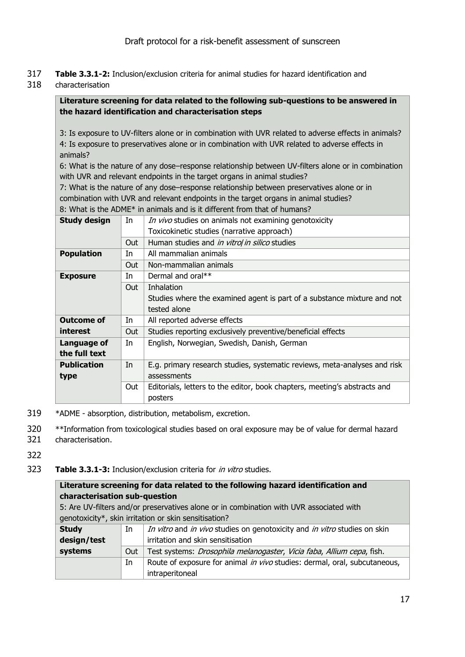- 317 **Table 3.3.1-2:** Inclusion/exclusion criteria for animal studies for hazard identification and
- 318 characterisation

#### **Literature screening for data related to the following sub-questions to be answered in the hazard identification and characterisation steps**

3: Is exposure to UV-filters alone or in combination with UVR related to adverse effects in animals? 4: Is exposure to preservatives alone or in combination with UVR related to adverse effects in animals?

6: What is the nature of any dose–response relationship between UV-filters alone or in combination with UVR and relevant endpoints in the target organs in animal studies?

7: What is the nature of any dose–response relationship between preservatives alone or in combination with UVR and relevant endpoints in the target organs in animal studies? 8: What is the ADME\* in animals and is it different from that of humans?

| <b>Study design</b> | In         | In vivo studies on animals not examining genotoxicity                     |
|---------------------|------------|---------------------------------------------------------------------------|
|                     |            | Toxicokinetic studies (narrative approach)                                |
|                     | <b>Out</b> | Human studies and in vitrol in silico studies                             |
| <b>Population</b>   | In         | All mammalian animals                                                     |
|                     | Out.       | Non-mammalian animals                                                     |
| <b>Exposure</b>     | In         | Dermal and oral**                                                         |
|                     | Out        | <b>Inhalation</b>                                                         |
|                     |            | Studies where the examined agent is part of a substance mixture and not   |
|                     |            | tested alone                                                              |
| <b>Outcome of</b>   | In         | All reported adverse effects                                              |
| interest            | Out        | Studies reporting exclusively preventive/beneficial effects               |
| Language of         | In.        | English, Norwegian, Swedish, Danish, German                               |
| the full text       |            |                                                                           |
| <b>Publication</b>  | In         | E.g. primary research studies, systematic reviews, meta-analyses and risk |
| type                |            | assessments                                                               |
|                     | Out        | Editorials, letters to the editor, book chapters, meeting's abstracts and |
|                     |            | posters                                                                   |
|                     |            |                                                                           |

- 319 \*ADME absorption, distribution, metabolism, excretion.
- 320 \*\*Information from toxicological studies based on oral exposure may be of value for dermal hazard
- 321 characterisation.
- 322
- 323 **Table 3.3.1-3:** Inclusion/exclusion criteria for in vitro studies.

| Literature screening for data related to the following hazard identification and |     |                                                                                         |  |
|----------------------------------------------------------------------------------|-----|-----------------------------------------------------------------------------------------|--|
| characterisation sub-question                                                    |     |                                                                                         |  |
|                                                                                  |     | 5: Are UV-filters and/or preservatives alone or in combination with UVR associated with |  |
|                                                                                  |     | genotoxicity*, skin irritation or skin sensitisation?                                   |  |
| <b>Study</b>                                                                     | In  | In vitro and in vivo studies on genotoxicity and in vitro studies on skin               |  |
| design/test                                                                      |     | irritation and skin sensitisation                                                       |  |
| systems                                                                          | Out | Test systems: Drosophila melanogaster, Vicia faba, Allium cepa, fish.                   |  |
|                                                                                  | In  | Route of exposure for animal in vivo studies: dermal, oral, subcutaneous,               |  |
|                                                                                  |     | intraperitoneal                                                                         |  |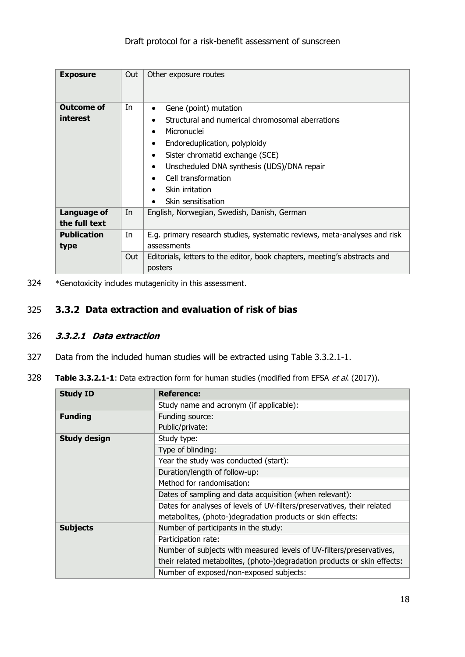| <b>Exposure</b>                                    | Out      | Other exposure routes                                                                                                                                                                                                                                                                                                                                                      |
|----------------------------------------------------|----------|----------------------------------------------------------------------------------------------------------------------------------------------------------------------------------------------------------------------------------------------------------------------------------------------------------------------------------------------------------------------------|
| <b>Outcome of</b><br>interest                      | In       | Gene (point) mutation<br>٠<br>Structural and numerical chromosomal aberrations<br>$\bullet$<br>Micronuclei<br>$\bullet$<br>Endoreduplication, polyploidy<br>$\bullet$<br>Sister chromatid exchange (SCE)<br>$\bullet$<br>Unscheduled DNA synthesis (UDS)/DNA repair<br>$\bullet$<br>Cell transformation<br>Skin irritation<br>$\bullet$<br>Skin sensitisation<br>$\bullet$ |
| Language of<br>the full text<br><b>Publication</b> | In<br>In | English, Norwegian, Swedish, Danish, German<br>E.g. primary research studies, systematic reviews, meta-analyses and risk                                                                                                                                                                                                                                                   |
| type                                               | Out      | assessments<br>Editorials, letters to the editor, book chapters, meeting's abstracts and<br>posters                                                                                                                                                                                                                                                                        |

324 \*Genotoxicity includes mutagenicity in this assessment.

#### <span id="page-17-0"></span>325 **Data extraction and evaluation of risk of bias**

#### <span id="page-17-1"></span>326 **3.3.2.1 Data extraction**

- 327 Data from the included human studies will be extracted using Table 3.3.2.1-1.
- 328 **Table 3.3.2.1-1**: Data extraction form for human studies (modified from EFSA et al. (2017)).

| <b>Study ID</b>     | <b>Reference:</b>                                                        |
|---------------------|--------------------------------------------------------------------------|
|                     | Study name and acronym (if applicable):                                  |
| <b>Funding</b>      | Funding source:                                                          |
|                     | Public/private:                                                          |
| <b>Study design</b> | Study type:                                                              |
|                     | Type of blinding:                                                        |
|                     | Year the study was conducted (start):                                    |
|                     | Duration/length of follow-up:                                            |
|                     | Method for randomisation:                                                |
|                     | Dates of sampling and data acquisition (when relevant):                  |
|                     | Dates for analyses of levels of UV-filters/preservatives, their related  |
|                     | metabolites, (photo-)degradation products or skin effects:               |
| <b>Subjects</b>     | Number of participants in the study:                                     |
|                     | Participation rate:                                                      |
|                     | Number of subjects with measured levels of UV-filters/preservatives,     |
|                     | their related metabolites, (photo-)degradation products or skin effects: |
|                     | Number of exposed/non-exposed subjects:                                  |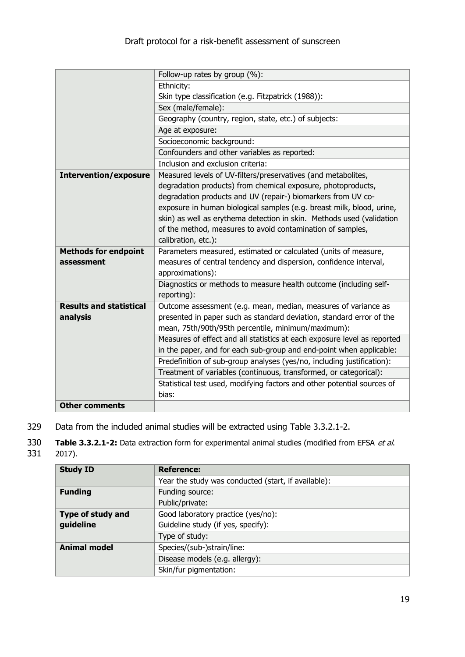|                                | Follow-up rates by group (%):                                            |
|--------------------------------|--------------------------------------------------------------------------|
|                                | Ethnicity:                                                               |
|                                | Skin type classification (e.g. Fitzpatrick (1988)):                      |
|                                | Sex (male/female):                                                       |
|                                | Geography (country, region, state, etc.) of subjects:                    |
|                                | Age at exposure:                                                         |
|                                | Socioeconomic background:                                                |
|                                | Confounders and other variables as reported:                             |
|                                | Inclusion and exclusion criteria:                                        |
| <b>Intervention/exposure</b>   | Measured levels of UV-filters/preservatives (and metabolites,            |
|                                | degradation products) from chemical exposure, photoproducts,             |
|                                | degradation products and UV (repair-) biomarkers from UV co-             |
|                                | exposure in human biological samples (e.g. breast milk, blood, urine,    |
|                                | skin) as well as erythema detection in skin. Methods used (validation    |
|                                | of the method, measures to avoid contamination of samples,               |
|                                | calibration, etc.):                                                      |
| <b>Methods for endpoint</b>    | Parameters measured, estimated or calculated (units of measure,          |
| assessment                     | measures of central tendency and dispersion, confidence interval,        |
|                                | approximations):                                                         |
|                                | Diagnostics or methods to measure health outcome (including self-        |
|                                | reporting):                                                              |
| <b>Results and statistical</b> | Outcome assessment (e.g. mean, median, measures of variance as           |
| analysis                       | presented in paper such as standard deviation, standard error of the     |
|                                | mean, 75th/90th/95th percentile, minimum/maximum):                       |
|                                | Measures of effect and all statistics at each exposure level as reported |
|                                | in the paper, and for each sub-group and end-point when applicable:      |
|                                | Predefinition of sub-group analyses (yes/no, including justification):   |
|                                | Treatment of variables (continuous, transformed, or categorical):        |
|                                | Statistical test used, modifying factors and other potential sources of  |
|                                | bias:                                                                    |
| <b>Other comments</b>          |                                                                          |

329 Data from the included animal studies will be extracted using Table 3.3.2.1-2.

330 **Table 3.3.2.1-2:** Data extraction form for experimental animal studies (modified from EFSA *et al.* 331 2017).

2017).

| <b>Study ID</b>     | <b>Reference:</b>                                   |
|---------------------|-----------------------------------------------------|
|                     | Year the study was conducted (start, if available): |
| <b>Funding</b>      | Funding source:                                     |
|                     | Public/private:                                     |
| Type of study and   | Good laboratory practice (yes/no):                  |
| guideline           | Guideline study (if yes, specify):                  |
|                     | Type of study:                                      |
| <b>Animal model</b> | Species/(sub-)strain/line:                          |
|                     | Disease models (e.g. allergy):                      |
|                     | Skin/fur pigmentation:                              |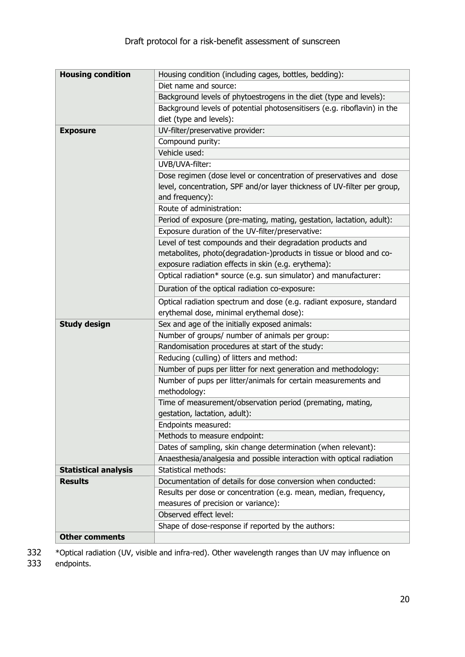| <b>Housing condition</b>    | Housing condition (including cages, bottles, bedding):                   |
|-----------------------------|--------------------------------------------------------------------------|
|                             | Diet name and source:                                                    |
|                             | Background levels of phytoestrogens in the diet (type and levels):       |
|                             | Background levels of potential photosensitisers (e.g. riboflavin) in the |
|                             | diet (type and levels):                                                  |
| <b>Exposure</b>             | UV-filter/preservative provider:                                         |
|                             | Compound purity:                                                         |
|                             | Vehicle used:                                                            |
|                             | UVB/UVA-filter:                                                          |
|                             | Dose regimen (dose level or concentration of preservatives and dose      |
|                             | level, concentration, SPF and/or layer thickness of UV-filter per group, |
|                             | and frequency):                                                          |
|                             | Route of administration:                                                 |
|                             | Period of exposure (pre-mating, mating, gestation, lactation, adult):    |
|                             | Exposure duration of the UV-filter/preservative:                         |
|                             | Level of test compounds and their degradation products and               |
|                             | metabolites, photo(degradation-)products in tissue or blood and co-      |
|                             | exposure radiation effects in skin (e.g. erythema):                      |
|                             | Optical radiation* source (e.g. sun simulator) and manufacturer:         |
|                             | Duration of the optical radiation co-exposure:                           |
|                             | Optical radiation spectrum and dose (e.g. radiant exposure, standard     |
|                             | erythemal dose, minimal erythemal dose):                                 |
| <b>Study design</b>         | Sex and age of the initially exposed animals:                            |
|                             | Number of groups/ number of animals per group:                           |
|                             | Randomisation procedures at start of the study:                          |
|                             | Reducing (culling) of litters and method:                                |
|                             | Number of pups per litter for next generation and methodology:           |
|                             | Number of pups per litter/animals for certain measurements and           |
|                             | methodology:                                                             |
|                             | Time of measurement/observation period (premating, mating,               |
|                             | gestation, lactation, adult):                                            |
|                             | Endpoints measured:                                                      |
|                             | Methods to measure endpoint:                                             |
|                             | Dates of sampling, skin change determination (when relevant):            |
|                             | Anaesthesia/analgesia and possible interaction with optical radiation    |
| <b>Statistical analysis</b> | <b>Statistical methods:</b>                                              |
| <b>Results</b>              | Documentation of details for dose conversion when conducted:             |
|                             | Results per dose or concentration (e.g. mean, median, frequency,         |
|                             | measures of precision or variance):                                      |
|                             | Observed effect level:                                                   |
|                             | Shape of dose-response if reported by the authors:                       |
| <b>Other comments</b>       |                                                                          |

332 \*Optical radiation (UV, visible and infra-red). Other wavelength ranges than UV may influence on

333 endpoints.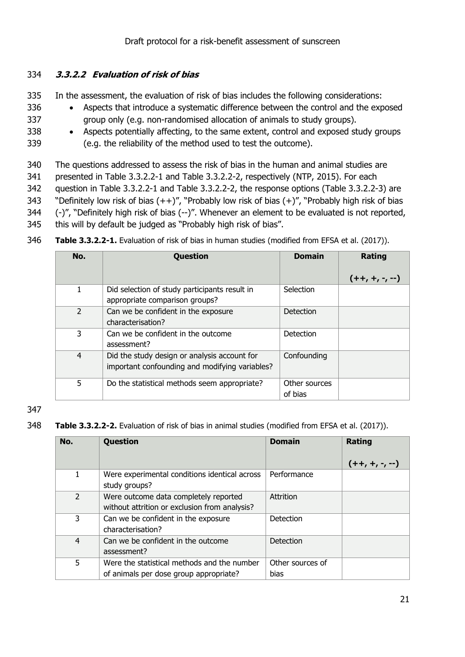#### <span id="page-20-0"></span>334 **3.3.2.2 Evaluation of risk of bias**

- 335 In the assessment, the evaluation of risk of bias includes the following considerations:
- 336 Aspects that introduce a systematic difference between the control and the exposed 337 group only (e.g. non-randomised allocation of animals to study groups).
- 338 Aspects potentially affecting, to the same extent, control and exposed study groups 339 (e.g. the reliability of the method used to test the outcome).
- 340 The questions addressed to assess the risk of bias in the human and animal studies are
- 341 presented in Table 3.3.2.2-1 and Table 3.3.2.2-2, respectively (NTP, 2015). For each
- 342 question in Table 3.3.2.2-1 and Table 3.3.2.2-2, the response options (Table 3.3.2.2-3) are
- 343 "Definitely low risk of bias  $(++)'$ , "Probably low risk of bias  $(+)''$ , "Probably high risk of bias
- 344 (-)", "Definitely high risk of bias (--)". Whenever an element to be evaluated is not reported,
- 345 this will by default be judged as "Probably high risk of bias".
- 346 **Table 3.3.2.2-1.** Evaluation of risk of bias in human studies (modified from EFSA et al. (2017)).

| No.            | <b>Question</b>                                | <b>Domain</b> | Rating         |
|----------------|------------------------------------------------|---------------|----------------|
|                |                                                |               | $(++,+, -, -)$ |
| 1              | Did selection of study participants result in  | Selection     |                |
|                | appropriate comparison groups?                 |               |                |
| 2              | Can we be confident in the exposure            | Detection     |                |
|                | characterisation?                              |               |                |
| 3              | Can we be confident in the outcome             | Detection     |                |
|                | assessment?                                    |               |                |
| $\overline{4}$ | Did the study design or analysis account for   | Confounding   |                |
|                | important confounding and modifying variables? |               |                |
| 5              | Do the statistical methods seem appropriate?   | Other sources |                |
|                |                                                | of bias       |                |

#### 347

348 **Table 3.3.2.2-2.** Evaluation of risk of bias in animal studies (modified from EFSA et al. (2017)).

| No.            | Question                                                                               | <b>Domain</b>            | Rating         |
|----------------|----------------------------------------------------------------------------------------|--------------------------|----------------|
|                |                                                                                        |                          | $(++,+, -, -)$ |
| 1.             | Were experimental conditions identical across<br>study groups?                         | Performance              |                |
| $\overline{2}$ | Were outcome data completely reported<br>without attrition or exclusion from analysis? | Attrition                |                |
| 3              | Can we be confident in the exposure<br>characterisation?                               | <b>Detection</b>         |                |
| 4              | Can we be confident in the outcome<br>assessment?                                      | <b>Detection</b>         |                |
| 5              | Were the statistical methods and the number<br>of animals per dose group appropriate?  | Other sources of<br>bias |                |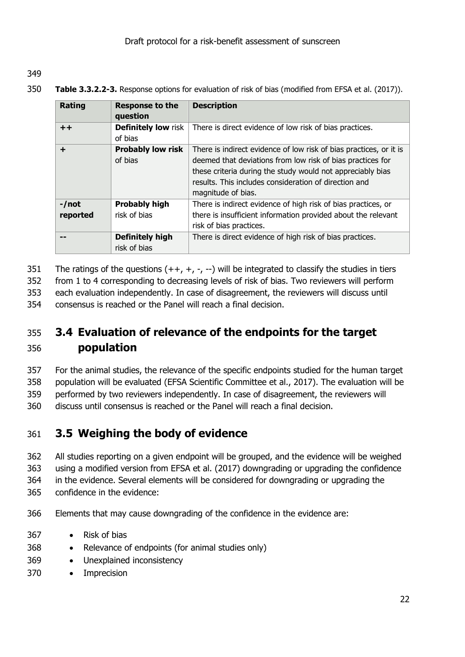349

350 **Table 3.3.2.2-3.** Response options for evaluation of risk of bias (modified from EFSA et al. (2017)).

| Rating   | <b>Response to the</b>     | <b>Description</b>                                                 |
|----------|----------------------------|--------------------------------------------------------------------|
|          | question                   |                                                                    |
| $++$     | <b>Definitely low risk</b> | There is direct evidence of low risk of bias practices.            |
|          | of bias                    |                                                                    |
| ÷        | <b>Probably low risk</b>   | There is indirect evidence of low risk of bias practices, or it is |
|          | of bias                    | deemed that deviations from low risk of bias practices for         |
|          |                            | these criteria during the study would not appreciably bias         |
|          |                            | results. This includes consideration of direction and              |
|          |                            | magnitude of bias.                                                 |
| $-$ /not | <b>Probably high</b>       | There is indirect evidence of high risk of bias practices, or      |
| reported | risk of bias               | there is insufficient information provided about the relevant      |
|          |                            | risk of bias practices.                                            |
|          | <b>Definitely high</b>     | There is direct evidence of high risk of bias practices.           |
|          | risk of bias               |                                                                    |

351 The ratings of the questions  $(++, +, -, -)$  will be integrated to classify the studies in tiers

352 from 1 to 4 corresponding to decreasing levels of risk of bias. Two reviewers will perform

353 each evaluation independently. In case of disagreement, the reviewers will discuss until

354 consensus is reached or the Panel will reach a final decision.

## <span id="page-21-0"></span>355 **3.4 Evaluation of relevance of the endpoints for the target**  356 **population**

 For the animal studies, the relevance of the specific endpoints studied for the human target population will be evaluated (EFSA Scientific Committee et al., 2017). The evaluation will be performed by two reviewers independently. In case of disagreement, the reviewers will discuss until consensus is reached or the Panel will reach a final decision.

## <span id="page-21-1"></span>361 **3.5 Weighing the body of evidence**

 All studies reporting on a given endpoint will be grouped, and the evidence will be weighed using a modified version from EFSA et al. (2017) downgrading or upgrading the confidence in the evidence. Several elements will be considered for downgrading or upgrading the confidence in the evidence:

- 366 Elements that may cause downgrading of the confidence in the evidence are:
- 367 Risk of bias
- 368 Relevance of endpoints (for animal studies only)
- 369 Unexplained inconsistency
- 370 Imprecision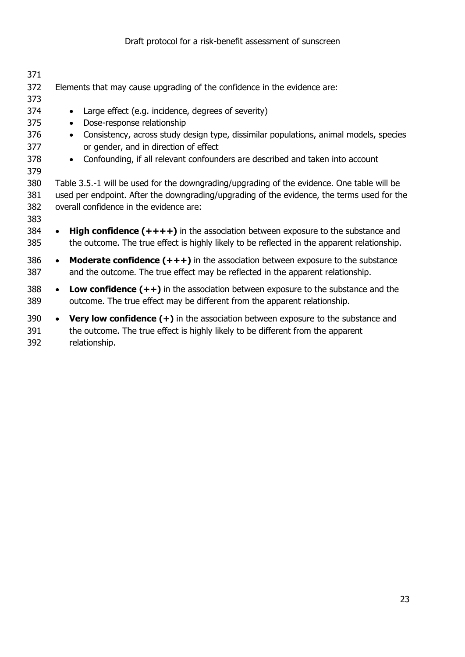| 371                      |                                                                                                                                                                                                                                     |
|--------------------------|-------------------------------------------------------------------------------------------------------------------------------------------------------------------------------------------------------------------------------------|
| 372                      | Elements that may cause upgrading of the confidence in the evidence are:                                                                                                                                                            |
| 373                      |                                                                                                                                                                                                                                     |
| 374                      | Large effect (e.g. incidence, degrees of severity)                                                                                                                                                                                  |
| 375                      | Dose-response relationship                                                                                                                                                                                                          |
| 376<br>377               | Consistency, across study design type, dissimilar populations, animal models, species<br>or gender, and in direction of effect                                                                                                      |
| 378<br>379               | Confounding, if all relevant confounders are described and taken into account<br>$\bullet$                                                                                                                                          |
| 380<br>381<br>382<br>383 | Table 3.5.-1 will be used for the downgrading/upgrading of the evidence. One table will be<br>used per endpoint. After the downgrading/upgrading of the evidence, the terms used for the<br>overall confidence in the evidence are: |
| 384<br>385               | <b>High confidence <math>(++++)</math></b> in the association between exposure to the substance and<br>the outcome. The true effect is highly likely to be reflected in the apparent relationship.                                  |
| 386<br>387               | <b>Moderate confidence <math>(+++)</math></b> in the association between exposure to the substance<br>$\bullet$<br>and the outcome. The true effect may be reflected in the apparent relationship.                                  |
| 388<br>389               | <b>Low confidence <math>(++)</math></b> in the association between exposure to the substance and the<br>outcome. The true effect may be different from the apparent relationship.                                                   |
| 390<br>391<br>392        | <b>Very low confidence <math>(+)</math></b> in the association between exposure to the substance and<br>$\bullet$<br>the outcome. The true effect is highly likely to be different from the apparent<br>relationship.               |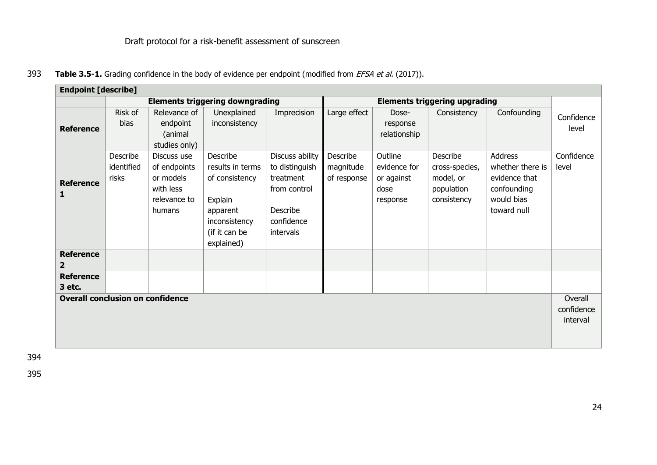393 **Table 3.5-1.** Grading confidence in the body of evidence per endpoint (modified from *EFSA et al.* (2017)).

| <b>Endpoint [describe]</b>              |                                        |               |                  |                 |                                      |              |                |                  |            |
|-----------------------------------------|----------------------------------------|---------------|------------------|-----------------|--------------------------------------|--------------|----------------|------------------|------------|
|                                         | <b>Elements triggering downgrading</b> |               |                  |                 | <b>Elements triggering upgrading</b> |              |                |                  |            |
|                                         | Risk of                                | Relevance of  | Unexplained      | Imprecision     | Large effect                         | Dose-        | Consistency    | Confounding      | Confidence |
| <b>Reference</b>                        | bias                                   | endpoint      | inconsistency    |                 |                                      | response     |                |                  | level      |
|                                         |                                        | (animal       |                  |                 |                                      | relationship |                |                  |            |
|                                         |                                        | studies only) |                  |                 |                                      |              |                |                  |            |
|                                         | Describe                               | Discuss use   | Describe         | Discuss ability | Describe                             | Outline      | Describe       | Address          | Confidence |
|                                         | identified                             | of endpoints  | results in terms | to distinguish  | magnitude                            | evidence for | cross-species, | whether there is | level      |
| <b>Reference</b>                        | risks                                  | or models     | of consistency   | treatment       | of response                          | or against   | model, or      | evidence that    |            |
| 1                                       |                                        | with less     |                  | from control    |                                      | dose         | population     | confounding      |            |
|                                         |                                        | relevance to  | Explain          |                 |                                      | response     | consistency    | would bias       |            |
|                                         |                                        | humans        | apparent         | Describe        |                                      |              |                | toward null      |            |
|                                         |                                        |               | inconsistency    | confidence      |                                      |              |                |                  |            |
|                                         |                                        |               | (if it can be    | intervals       |                                      |              |                |                  |            |
|                                         |                                        |               | explained)       |                 |                                      |              |                |                  |            |
| <b>Reference</b>                        |                                        |               |                  |                 |                                      |              |                |                  |            |
| $\overline{2}$                          |                                        |               |                  |                 |                                      |              |                |                  |            |
| <b>Reference</b>                        |                                        |               |                  |                 |                                      |              |                |                  |            |
| 3 etc.                                  |                                        |               |                  |                 |                                      |              |                |                  |            |
| <b>Overall conclusion on confidence</b> |                                        |               |                  |                 |                                      |              |                |                  | Overall    |
|                                         |                                        |               |                  |                 |                                      |              |                |                  | confidence |
|                                         |                                        |               |                  |                 |                                      |              |                |                  | interval   |
|                                         |                                        |               |                  |                 |                                      |              |                |                  |            |
|                                         |                                        |               |                  |                 |                                      |              |                |                  |            |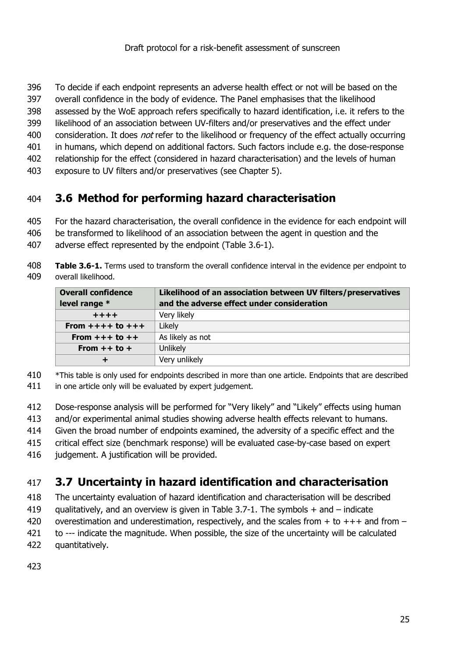- To decide if each endpoint represents an adverse health effect or not will be based on the
- overall confidence in the body of evidence. The Panel emphasises that the likelihood
- assessed by the WoE approach refers specifically to hazard identification, i.e. it refers to the
- likelihood of an association between UV-filters and/or preservatives and the effect under
- 400 consideration. It does *not* refer to the likelihood or frequency of the effect actually occurring
- in humans, which depend on additional factors. Such factors include e.g. the dose-response
- relationship for the effect (considered in hazard characterisation) and the levels of human
- exposure to UV filters and/or preservatives (see Chapter 5).

## <span id="page-24-0"></span>**3.6 Method for performing hazard characterisation**

- For the hazard characterisation, the overall confidence in the evidence for each endpoint will
- be transformed to likelihood of an association between the agent in question and the
- adverse effect represented by the endpoint (Table 3.6-1).
- **Table 3.6-1.** Terms used to transform the overall confidence interval in the evidence per endpoint to overall likelihood.

| <b>Overall confidence</b><br>level range * | Likelihood of an association between UV filters/preservatives<br>and the adverse effect under consideration |
|--------------------------------------------|-------------------------------------------------------------------------------------------------------------|
| $+ + + +$                                  | Very likely                                                                                                 |
| From $+++$ to $+++$                        | Likely                                                                                                      |
| From $++$ to $++$                          | As likely as not                                                                                            |
| From $++$ to $+$                           | Unlikely                                                                                                    |
|                                            | Very unlikely                                                                                               |

\*This table is only used for endpoints described in more than one article. Endpoints that are described

- 411 in one article only will be evaluated by expert judgement.
- Dose-response analysis will be performed for "Very likely" and "Likely" effects using human
- and/or experimental animal studies showing adverse health effects relevant to humans.
- Given the broad number of endpoints examined, the adversity of a specific effect and the
- critical effect size (benchmark response) will be evaluated case-by-case based on expert
- 416 judgement. A justification will be provided.

## <span id="page-24-1"></span>**3.7 Uncertainty in hazard identification and characterisation**

- The uncertainty evaluation of hazard identification and characterisation will be described
- qualitatively, and an overview is given in Table 3.7-1. The symbols + and indicate
- 420 overestimation and underestimation, respectively, and the scales from  $+$  to  $+++$  and from  $-$
- to --- indicate the magnitude. When possible, the size of the uncertainty will be calculated
- quantitatively.
-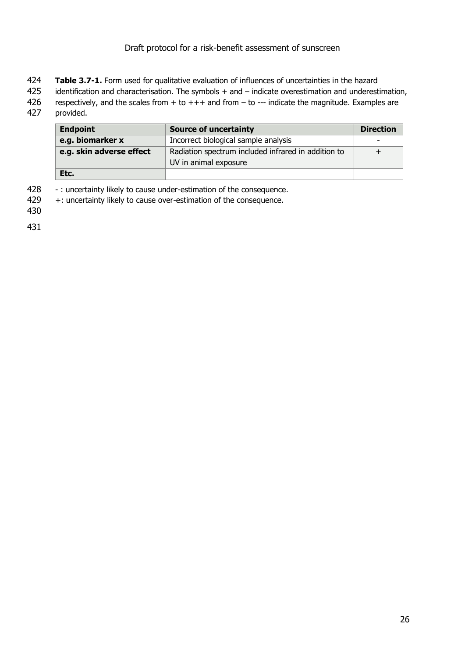- 424 **Table 3.7-1.** Form used for qualitative evaluation of influences of uncertainties in the hazard
- 425 identification and characterisation. The symbols + and indicate overestimation and underestimation,
- 426 respectively, and the scales from  $+$  to  $+++$  and from  $-$  to  $--$  indicate the magnitude. Examples are
- 427 provided.

| <b>Endpoint</b>          | <b>Source of uncertainty</b>                        | <b>Direction</b> |
|--------------------------|-----------------------------------------------------|------------------|
| e.g. biomarker x         | Incorrect biological sample analysis                | -                |
| e.g. skin adverse effect | Radiation spectrum included infrared in addition to |                  |
|                          | UV in animal exposure                               |                  |
| Etc.                     |                                                     |                  |

- 428 : uncertainty likely to cause under-estimation of the consequence.
- 429 +: uncertainty likely to cause over-estimation of the consequence.

430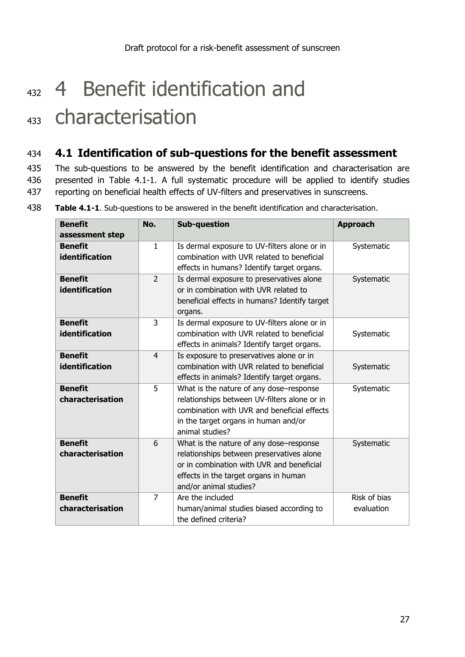# <span id="page-26-0"></span>432 4 Benefit identification and <sup>433</sup> characterisation

#### <span id="page-26-1"></span>434 **4.1 Identification of sub-questions for the benefit assessment**

435 The sub-questions to be answered by the benefit identification and characterisation are 436 presented in Table 4.1-1. A full systematic procedure will be applied to identify studies 437 reporting on beneficial health effects of UV-filters and preservatives in sunscreens.

| <b>Benefit</b><br>assessment step       | No.            | <b>Sub-question</b>                                                                                                                                                                                  | <b>Approach</b>            |
|-----------------------------------------|----------------|------------------------------------------------------------------------------------------------------------------------------------------------------------------------------------------------------|----------------------------|
| <b>Benefit</b><br>identification        | $\mathbf{1}$   | Is dermal exposure to UV-filters alone or in<br>combination with UVR related to beneficial<br>effects in humans? Identify target organs.                                                             | Systematic                 |
| <b>Benefit</b><br>identification        | $\overline{2}$ | Is dermal exposure to preservatives alone<br>or in combination with UVR related to<br>beneficial effects in humans? Identify target<br>organs.                                                       | Systematic                 |
| <b>Benefit</b><br><b>identification</b> | 3              | Is dermal exposure to UV-filters alone or in<br>combination with UVR related to beneficial<br>effects in animals? Identify target organs.                                                            | Systematic                 |
| <b>Benefit</b><br><b>identification</b> | $\overline{4}$ | Is exposure to preservatives alone or in<br>combination with UVR related to beneficial<br>effects in animals? Identify target organs.                                                                | Systematic                 |
| <b>Benefit</b><br>characterisation      | 5              | What is the nature of any dose-response<br>relationships between UV-filters alone or in<br>combination with UVR and beneficial effects<br>in the target organs in human and/or<br>animal studies?    | Systematic                 |
| <b>Benefit</b><br>characterisation      | 6              | What is the nature of any dose-response<br>relationships between preservatives alone<br>or in combination with UVR and beneficial<br>effects in the target organs in human<br>and/or animal studies? | Systematic                 |
| <b>Benefit</b><br>characterisation      | $\overline{7}$ | Are the included<br>human/animal studies biased according to<br>the defined criteria?                                                                                                                | Risk of bias<br>evaluation |

438 **Table 4.1-1**. Sub-questions to be answered in the benefit identification and characterisation.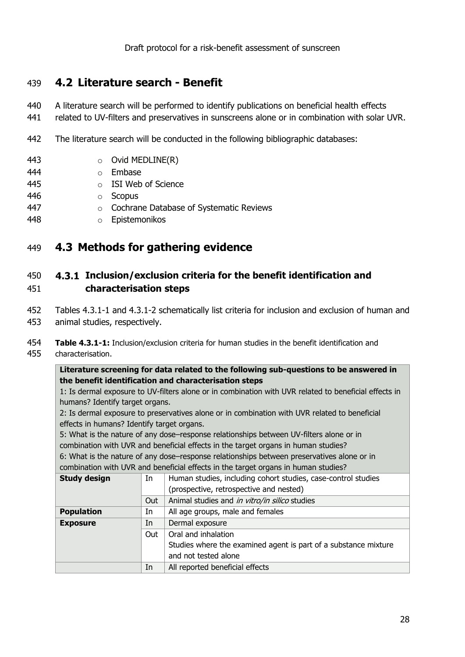#### <span id="page-27-0"></span>439 **4.2 Literature search - Benefit**

- 440 A literature search will be performed to identify publications on beneficial health effects
- 441 related to UV-filters and preservatives in sunscreens alone or in combination with solar UVR.
- 442 The literature search will be conducted in the following bibliographic databases:
- 443 **o** Ovid MEDLINE(R)
- 444 o Embase
- 445 o ISI Web of Science
- 446 o Scopus
- 447 o Cochrane Database of Systematic Reviews
- 448 o Epistemonikos

#### <span id="page-27-1"></span>449 **4.3 Methods for gathering evidence**

#### <span id="page-27-2"></span>450 **Inclusion/exclusion criteria for the benefit identification and**  451 **characterisation steps**

- 452 Tables 4.3.1-1 and 4.3.1-2 schematically list criteria for inclusion and exclusion of human and 453 animal studies, respectively.
- 454 **Table 4.3.1-1:** Inclusion/exclusion criteria for human studies in the benefit identification and 455 characterisation.

#### **Literature screening for data related to the following sub-questions to be answered in the benefit identification and characterisation steps**

1: Is dermal exposure to UV-filters alone or in combination with UVR related to beneficial effects in humans? Identify target organs.

2: Is dermal exposure to preservatives alone or in combination with UVR related to beneficial effects in humans? Identify target organs.

5: What is the nature of any dose–response relationships between UV-filters alone or in combination with UVR and beneficial effects in the target organs in human studies?

6: What is the nature of any dose–response relationships between preservatives alone or in combination with UVR and beneficial effects in the target organs in human studies?

| <b>Study design</b> | In  | Human studies, including cohort studies, case-control studies   |  |
|---------------------|-----|-----------------------------------------------------------------|--|
|                     |     | (prospective, retrospective and nested)                         |  |
|                     | Out | Animal studies and in vitro/in silico studies                   |  |
| <b>Population</b>   | In  | All age groups, male and females                                |  |
| <b>Exposure</b>     | In  | Dermal exposure                                                 |  |
|                     | Out | Oral and inhalation                                             |  |
|                     |     | Studies where the examined agent is part of a substance mixture |  |
|                     |     | and not tested alone                                            |  |
|                     | In  | All reported beneficial effects                                 |  |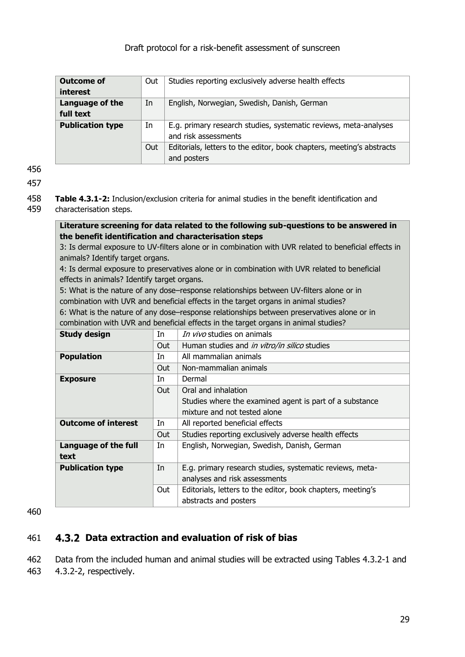| <b>Outcome of</b>       | Out | Studies reporting exclusively adverse health effects                  |
|-------------------------|-----|-----------------------------------------------------------------------|
| interest                |     |                                                                       |
| Language of the         | In  | English, Norwegian, Swedish, Danish, German                           |
| full text               |     |                                                                       |
| <b>Publication type</b> | In  | E.g. primary research studies, systematic reviews, meta-analyses      |
|                         |     | and risk assessments                                                  |
|                         | Out | Editorials, letters to the editor, book chapters, meeting's abstracts |
|                         |     | and posters                                                           |

456

457

458 **Table 4.3.1-2:** Inclusion/exclusion criteria for animal studies in the benefit identification and 459 characterisation steps.

#### **Literature screening for data related to the following sub-questions to be answered in the benefit identification and characterisation steps**

3: Is dermal exposure to UV-filters alone or in combination with UVR related to beneficial effects in animals? Identify target organs.

4: Is dermal exposure to preservatives alone or in combination with UVR related to beneficial effects in animals? Identify target organs.

5: What is the nature of any dose–response relationships between UV-filters alone or in combination with UVR and beneficial effects in the target organs in animal studies? 6: What is the nature of any dose–response relationships between preservatives alone or in

combination with UVR and beneficial effects in the target organs in animal studies?

| In  | In vivo studies on animals                                  |
|-----|-------------------------------------------------------------|
|     | Human studies and in vitro/in silico studies                |
|     |                                                             |
| In  | All mammalian animals                                       |
| Out | Non-mammalian animals                                       |
| In  | Dermal                                                      |
| Out | Oral and inhalation                                         |
|     | Studies where the examined agent is part of a substance     |
|     | mixture and not tested alone                                |
| In  | All reported beneficial effects                             |
| Out | Studies reporting exclusively adverse health effects        |
| In  | English, Norwegian, Swedish, Danish, German                 |
|     |                                                             |
| In  | E.g. primary research studies, systematic reviews, meta-    |
|     | analyses and risk assessments                               |
| Out | Editorials, letters to the editor, book chapters, meeting's |
|     | abstracts and posters                                       |
|     | Out                                                         |

460

#### <span id="page-28-0"></span>461 **Data extraction and evaluation of risk of bias**

462 Data from the included human and animal studies will be extracted using Tables 4.3.2-1 and 463 4.3.2-2, respectively.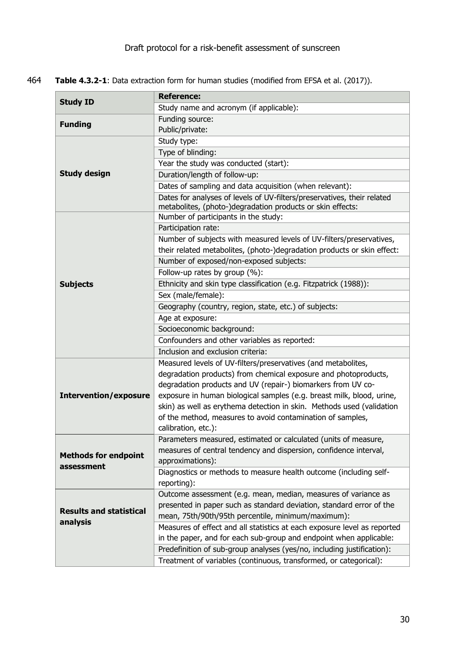464 **Table 4.3.2-1**: Data extraction form for human studies (modified from EFSA et al. (2017)).

|                                | <b>Reference:</b>                                                                                                                     |
|--------------------------------|---------------------------------------------------------------------------------------------------------------------------------------|
| <b>Study ID</b>                | Study name and acronym (if applicable):                                                                                               |
| <b>Funding</b>                 | Funding source:                                                                                                                       |
|                                | Public/private:                                                                                                                       |
|                                | Study type:                                                                                                                           |
|                                | Type of blinding:                                                                                                                     |
|                                | Year the study was conducted (start):                                                                                                 |
| <b>Study design</b>            | Duration/length of follow-up:                                                                                                         |
|                                | Dates of sampling and data acquisition (when relevant):                                                                               |
|                                | Dates for analyses of levels of UV-filters/preservatives, their related<br>metabolites, (photo-)degradation products or skin effects: |
|                                | Number of participants in the study:                                                                                                  |
|                                | Participation rate:                                                                                                                   |
|                                | Number of subjects with measured levels of UV-filters/preservatives,                                                                  |
|                                | their related metabolites, (photo-)degradation products or skin effect:                                                               |
|                                | Number of exposed/non-exposed subjects:                                                                                               |
|                                | Follow-up rates by group (%):                                                                                                         |
| <b>Subjects</b>                | Ethnicity and skin type classification (e.g. Fitzpatrick (1988)):                                                                     |
|                                | Sex (male/female):                                                                                                                    |
|                                | Geography (country, region, state, etc.) of subjects:                                                                                 |
|                                | Age at exposure:                                                                                                                      |
|                                | Socioeconomic background:                                                                                                             |
|                                | Confounders and other variables as reported:                                                                                          |
|                                | Inclusion and exclusion criteria:                                                                                                     |
|                                | Measured levels of UV-filters/preservatives (and metabolites,                                                                         |
|                                | degradation products) from chemical exposure and photoproducts,                                                                       |
|                                | degradation products and UV (repair-) biomarkers from UV co-                                                                          |
| <b>Intervention/exposure</b>   | exposure in human biological samples (e.g. breast milk, blood, urine,                                                                 |
|                                | skin) as well as erythema detection in skin. Methods used (validation                                                                 |
|                                | of the method, measures to avoid contamination of samples,                                                                            |
|                                | calibration, etc.):                                                                                                                   |
|                                | Parameters measured, estimated or calculated (units of measure,                                                                       |
| <b>Methods for endpoint</b>    | measures of central tendency and dispersion, confidence interval,                                                                     |
| assessment                     | approximations):                                                                                                                      |
|                                | Diagnostics or methods to measure health outcome (including self-                                                                     |
|                                | reporting):                                                                                                                           |
|                                | Outcome assessment (e.g. mean, median, measures of variance as                                                                        |
| <b>Results and statistical</b> | presented in paper such as standard deviation, standard error of the                                                                  |
| analysis                       | mean, 75th/90th/95th percentile, minimum/maximum):                                                                                    |
|                                | Measures of effect and all statistics at each exposure level as reported                                                              |
|                                | in the paper, and for each sub-group and endpoint when applicable:                                                                    |
|                                | Predefinition of sub-group analyses (yes/no, including justification):                                                                |
|                                | Treatment of variables (continuous, transformed, or categorical):                                                                     |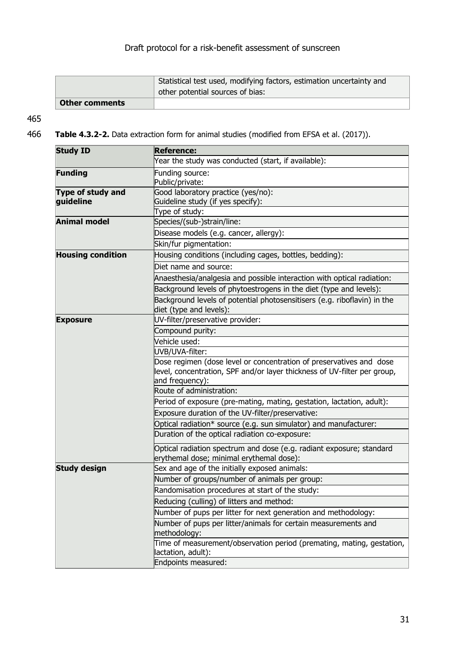|                       | Statistical test used, modifying factors, estimation uncertainty and<br>other potential sources of bias: |
|-----------------------|----------------------------------------------------------------------------------------------------------|
| <b>Other comments</b> |                                                                                                          |

#### 465

466 **Table 4.3.2-2.** Data extraction form for animal studies (modified from EFSA et al. (2017)).

| <b>Study ID</b>                | <b>Reference:</b>                                                                                                                                                  |  |  |
|--------------------------------|--------------------------------------------------------------------------------------------------------------------------------------------------------------------|--|--|
|                                | Year the study was conducted (start, if available):                                                                                                                |  |  |
| <b>Funding</b>                 | Funding source:<br>Public/private:                                                                                                                                 |  |  |
| Type of study and<br>guideline | Good laboratory practice (yes/no):<br>Guideline study (if yes specify):                                                                                            |  |  |
| <b>Animal model</b>            | Type of study:                                                                                                                                                     |  |  |
|                                | Species/(sub-)strain/line:                                                                                                                                         |  |  |
|                                | Disease models (e.g. cancer, allergy):                                                                                                                             |  |  |
|                                | Skin/fur pigmentation:                                                                                                                                             |  |  |
| <b>Housing condition</b>       | Housing conditions (including cages, bottles, bedding):                                                                                                            |  |  |
|                                | Diet name and source:                                                                                                                                              |  |  |
|                                | Anaesthesia/analgesia and possible interaction with optical radiation:                                                                                             |  |  |
|                                | Background levels of phytoestrogens in the diet (type and levels):                                                                                                 |  |  |
|                                | Background levels of potential photosensitisers (e.g. riboflavin) in the<br>diet (type and levels):                                                                |  |  |
| <b>Exposure</b>                | UV-filter/preservative provider:                                                                                                                                   |  |  |
|                                | Compound purity:                                                                                                                                                   |  |  |
|                                | Vehicle used:                                                                                                                                                      |  |  |
|                                | UVB/UVA-filter:                                                                                                                                                    |  |  |
|                                | Dose regimen (dose level or concentration of preservatives and dose<br>level, concentration, SPF and/or layer thickness of UV-filter per group,<br>and frequency): |  |  |
|                                | Route of administration:                                                                                                                                           |  |  |
|                                | Period of exposure (pre-mating, mating, gestation, lactation, adult):                                                                                              |  |  |
|                                | Exposure duration of the UV-filter/preservative:                                                                                                                   |  |  |
|                                | Optical radiation* source (e.g. sun simulator) and manufacturer:                                                                                                   |  |  |
|                                | Duration of the optical radiation co-exposure:                                                                                                                     |  |  |
|                                | Optical radiation spectrum and dose (e.g. radiant exposure; standard<br>erythemal dose; minimal erythemal dose):                                                   |  |  |
| <b>Study design</b>            | Sex and age of the initially exposed animals:                                                                                                                      |  |  |
|                                | Number of groups/number of animals per group:                                                                                                                      |  |  |
|                                | Randomisation procedures at start of the study:                                                                                                                    |  |  |
|                                | Reducing (culling) of litters and method:                                                                                                                          |  |  |
|                                | Number of pups per litter for next generation and methodology:                                                                                                     |  |  |
|                                | Number of pups per litter/animals for certain measurements and<br>methodology:                                                                                     |  |  |
|                                | Time of measurement/observation period (premating, mating, gestation,<br>lactation, adult):                                                                        |  |  |
|                                | Endpoints measured:                                                                                                                                                |  |  |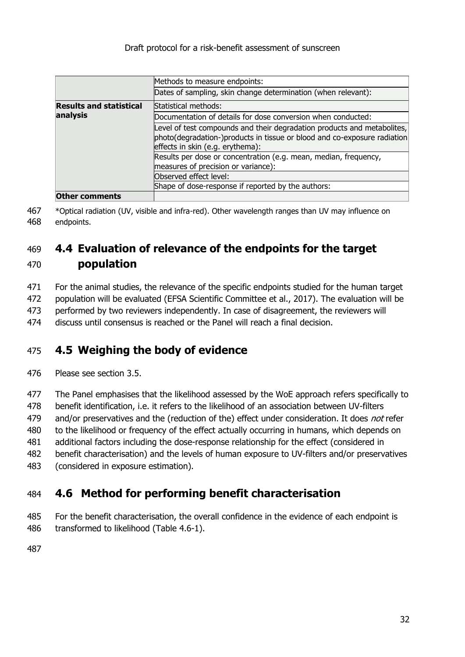|                                | Methods to measure endpoints:                                                                                                                                                           |
|--------------------------------|-----------------------------------------------------------------------------------------------------------------------------------------------------------------------------------------|
|                                | Dates of sampling, skin change determination (when relevant):                                                                                                                           |
| <b>Results and statistical</b> | Statistical methods:                                                                                                                                                                    |
| analysis                       | Documentation of details for dose conversion when conducted:                                                                                                                            |
|                                | Level of test compounds and their degradation products and metabolites,<br>photo(degradation-)products in tissue or blood and co-exposure radiation<br>effects in skin (e.g. erythema): |
|                                | Results per dose or concentration (e.g. mean, median, frequency,<br>measures of precision or variance):                                                                                 |
|                                | Observed effect level:                                                                                                                                                                  |
|                                | Shape of dose-response if reported by the authors:                                                                                                                                      |
| <b>Other comments</b>          |                                                                                                                                                                                         |

467 \*Optical radiation (UV, visible and infra-red). Other wavelength ranges than UV may influence on 468 endpoints.

### <span id="page-31-0"></span>469 **4.4 Evaluation of relevance of the endpoints for the target**  470 **population**

471 For the animal studies, the relevance of the specific endpoints studied for the human target

472 population will be evaluated (EFSA Scientific Committee et al., 2017). The evaluation will be

473 performed by two reviewers independently. In case of disagreement, the reviewers will

474 discuss until consensus is reached or the Panel will reach a final decision.

## <span id="page-31-1"></span>475 **4.5 Weighing the body of evidence**

476 Please see section 3.5.

 The Panel emphasises that the likelihood assessed by the WoE approach refers specifically to benefit identification, i.e. it refers to the likelihood of an association between UV-filters 479 and/or preservatives and the (reduction of the) effect under consideration. It does not refer 480 to the likelihood or frequency of the effect actually occurring in humans, which depends on additional factors including the dose-response relationship for the effect (considered in benefit characterisation) and the levels of human exposure to UV-filters and/or preservatives (considered in exposure estimation).

## <span id="page-31-2"></span>484 **4.6 Method for performing benefit characterisation**

485 For the benefit characterisation, the overall confidence in the evidence of each endpoint is 486 transformed to likelihood (Table 4.6-1).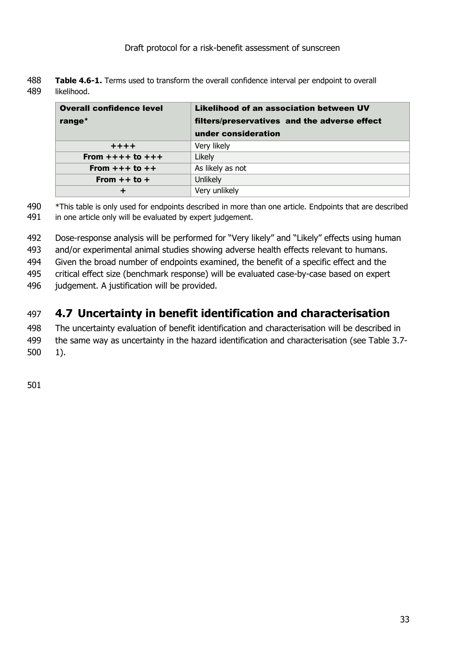| 488 | <b>Table 4.6-1.</b> Terms used to transform the overall confidence interval per endpoint to overall |
|-----|-----------------------------------------------------------------------------------------------------|
|     | 489 likelihood.                                                                                     |

| <b>Overall confidence level</b> | Likelihood of an association between UV      |
|---------------------------------|----------------------------------------------|
| range*                          | filters/preservatives and the adverse effect |
|                                 | under consideration                          |
| $+ + + +$                       | Very likely                                  |
| From $+++$ to $+++$             | Likely                                       |
| From $++$ to $++$               | As likely as not                             |
| From $++$ to $+$                | Unlikely                                     |
| ٠                               | Very unlikely                                |

490 \*This table is only used for endpoints described in more than one article. Endpoints that are described 491 in one article only will be evaluated by expert judgement.

492 Dose-response analysis will be performed for "Very likely" and "Likely" effects using human

493 and/or experimental animal studies showing adverse health effects relevant to humans.

494 Given the broad number of endpoints examined, the benefit of a specific effect and the

495 critical effect size (benchmark response) will be evaluated case-by-case based on expert

496 judgement. A justification will be provided.

## <span id="page-32-0"></span>497 **4.7 Uncertainty in benefit identification and characterisation**

498 The uncertainty evaluation of benefit identification and characterisation will be described in

499 the same way as uncertainty in the hazard identification and characterisation (see Table 3.7- 500 1).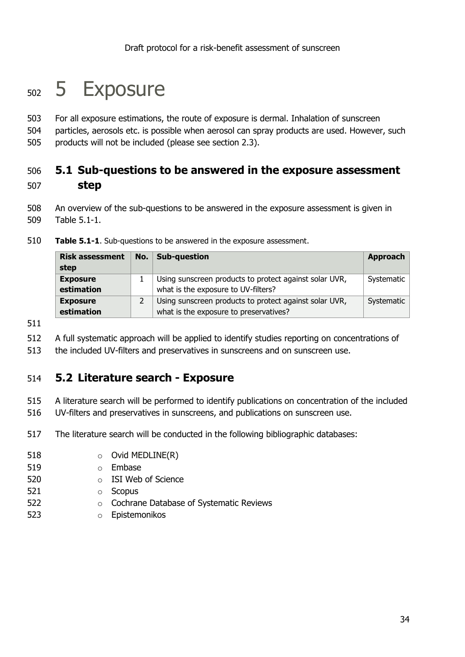## <span id="page-33-0"></span><sub>502</sub> 5 Exposure

503 For all exposure estimations, the route of exposure is dermal. Inhalation of sunscreen 504 particles, aerosols etc. is possible when aerosol can spray products are used. However, such

505 products will not be included (please see section 2.3).

### <span id="page-33-1"></span>506 **5.1 Sub-questions to be answered in the exposure assessment** 507 **step**

508 An overview of the sub-questions to be answered in the exposure assessment is given in 509 Table 5.1-1.

| <b>Risk assessment</b><br>step | No. | Sub-question                                                                                     | Approach   |
|--------------------------------|-----|--------------------------------------------------------------------------------------------------|------------|
| <b>Exposure</b><br>estimation  |     | Using sunscreen products to protect against solar UVR,<br>what is the exposure to UV-filters?    | Systematic |
| <b>Exposure</b><br>estimation  |     | Using sunscreen products to protect against solar UVR,<br>what is the exposure to preservatives? | Systematic |

510 **Table 5.1-1**. Sub-questions to be answered in the exposure assessment.

511

512 A full systematic approach will be applied to identify studies reporting on concentrations of

513 the included UV-filters and preservatives in sunscreens and on sunscreen use.

#### <span id="page-33-2"></span>514 **5.2 Literature search - Exposure**

515 A literature search will be performed to identify publications on concentration of the included

516 UV-filters and preservatives in sunscreens, and publications on sunscreen use.

517 The literature search will be conducted in the following bibliographic databases:

- 518 Ovid MEDLINE(R)
- 519 o Embase
- 520 o ISI Web of Science
- 521 o Scopus
- 522 o Cochrane Database of Systematic Reviews
- 523 o Epistemonikos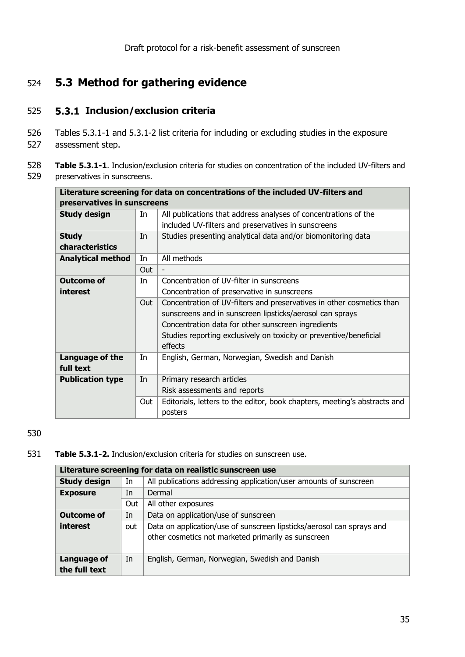## <span id="page-34-0"></span>524 **5.3 Method for gathering evidence**

#### 525 **Inclusion/exclusion criteria**

- 526 Tables 5.3.1-1 and 5.3.1-2 list criteria for including or excluding studies in the exposure
- 527 assessment step.
- 528 **Table 5.3.1-1**. Inclusion/exclusion criteria for studies on concentration of the included UV-filters and 529 preservatives in sunscreens.

| Literature screening for data on concentrations of the included UV-filters and |     |                                                                           |
|--------------------------------------------------------------------------------|-----|---------------------------------------------------------------------------|
| preservatives in sunscreens                                                    |     |                                                                           |
| <b>Study design</b>                                                            | In  | All publications that address analyses of concentrations of the           |
|                                                                                |     | included UV-filters and preservatives in sunscreens                       |
| <b>Study</b>                                                                   | In  | Studies presenting analytical data and/or biomonitoring data              |
| characteristics                                                                |     |                                                                           |
| <b>Analytical method</b>                                                       | In  | All methods                                                               |
|                                                                                | Out |                                                                           |
| <b>Outcome of</b>                                                              | In  | Concentration of UV-filter in sunscreens                                  |
| interest                                                                       |     | Concentration of preservative in sunscreens                               |
|                                                                                | Out | Concentration of UV-filters and preservatives in other cosmetics than     |
|                                                                                |     | sunscreens and in sunscreen lipsticks/aerosol can sprays                  |
|                                                                                |     | Concentration data for other sunscreen ingredients                        |
|                                                                                |     | Studies reporting exclusively on toxicity or preventive/beneficial        |
|                                                                                |     | effects                                                                   |
| Language of the                                                                | In  | English, German, Norwegian, Swedish and Danish                            |
| full text                                                                      |     |                                                                           |
| <b>Publication type</b>                                                        | In  | Primary research articles                                                 |
|                                                                                |     | Risk assessments and reports                                              |
|                                                                                | Out | Editorials, letters to the editor, book chapters, meeting's abstracts and |
|                                                                                |     | posters                                                                   |

#### 530

531 **Table 5.3.1-2.** Inclusion/exclusion criteria for studies on sunscreen use.

| Literature screening for data on realistic sunscreen use |     |                                                                       |
|----------------------------------------------------------|-----|-----------------------------------------------------------------------|
| <b>Study design</b>                                      | In  | All publications addressing application/user amounts of sunscreen     |
| <b>Exposure</b>                                          | In  | Dermal                                                                |
|                                                          | Out | All other exposures                                                   |
| <b>Outcome of</b>                                        | In  | Data on application/use of sunscreen                                  |
| interest                                                 | out | Data on application/use of sunscreen lipsticks/aerosol can sprays and |
|                                                          |     | other cosmetics not marketed primarily as sunscreen                   |
|                                                          |     |                                                                       |
| <b>Language of</b>                                       | In  | English, German, Norwegian, Swedish and Danish                        |
| the full text                                            |     |                                                                       |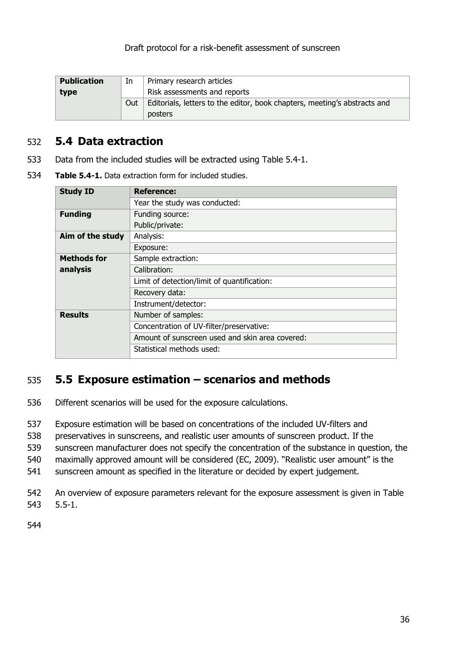| <b>Publication</b> | In  | Primary research articles                                                 |
|--------------------|-----|---------------------------------------------------------------------------|
| type               |     | Risk assessments and reports                                              |
|                    | Out | Editorials, letters to the editor, book chapters, meeting's abstracts and |
|                    |     | <b>posters</b>                                                            |

#### <span id="page-35-0"></span>532 **5.4 Data extraction**

- 533 Data from the included studies will be extracted using Table 5.4-1.
- 534 **Table 5.4-1.** Data extraction form for included studies.

| <b>Study ID</b>    | <b>Reference:</b>                               |
|--------------------|-------------------------------------------------|
|                    | Year the study was conducted:                   |
| <b>Funding</b>     | Funding source:                                 |
|                    | Public/private:                                 |
| Aim of the study   | Analysis:                                       |
|                    | Exposure:                                       |
| <b>Methods for</b> | Sample extraction:                              |
| analysis           | Calibration:                                    |
|                    | Limit of detection/limit of quantification:     |
|                    | Recovery data:                                  |
|                    | Instrument/detector:                            |
| <b>Results</b>     | Number of samples:                              |
|                    | Concentration of UV-filter/preservative:        |
|                    | Amount of sunscreen used and skin area covered: |
|                    | Statistical methods used:                       |

#### <span id="page-35-1"></span>535 **5.5 Exposure estimation – scenarios and methods**

- 536 Different scenarios will be used for the exposure calculations.
- 537 Exposure estimation will be based on concentrations of the included UV-filters and
- 538 preservatives in sunscreens, and realistic user amounts of sunscreen product. If the
- 539 sunscreen manufacturer does not specify the concentration of the substance in question, the
- 540 maximally approved amount will be considered (EC, 2009). "Realistic user amount" is the
- 541 sunscreen amount as specified in the literature or decided by expert judgement.
- 542 An overview of exposure parameters relevant for the exposure assessment is given in Table 543 5.5-1.
- 544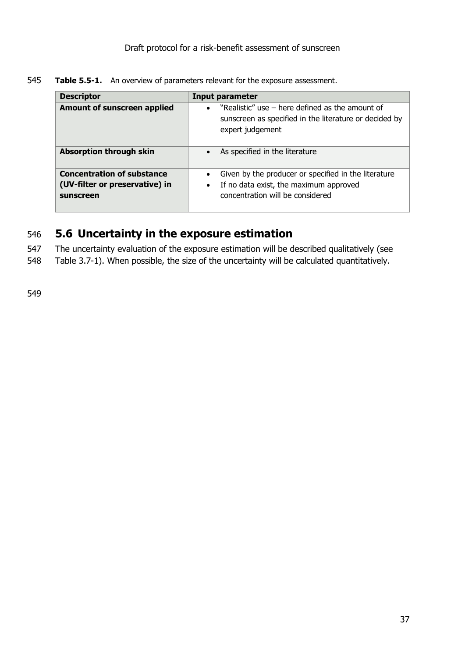545 **Table 5.5-1.** An overview of parameters relevant for the exposure assessment.

| <b>Descriptor</b>                                                                | <b>Input parameter</b>                                                                                                                  |
|----------------------------------------------------------------------------------|-----------------------------------------------------------------------------------------------------------------------------------------|
| <b>Amount of sunscreen applied</b>                                               | "Realistic" use – here defined as the amount of<br>sunscreen as specified in the literature or decided by<br>expert judgement           |
| <b>Absorption through skin</b>                                                   | As specified in the literature                                                                                                          |
| <b>Concentration of substance</b><br>(UV-filter or preservative) in<br>sunscreen | Given by the producer or specified in the literature<br>If no data exist, the maximum approved<br>٠<br>concentration will be considered |

#### <span id="page-36-0"></span>546 **5.6 Uncertainty in the exposure estimation**

547 The uncertainty evaluation of the exposure estimation will be described qualitatively (see

548 Table 3.7-1). When possible, the size of the uncertainty will be calculated quantitatively.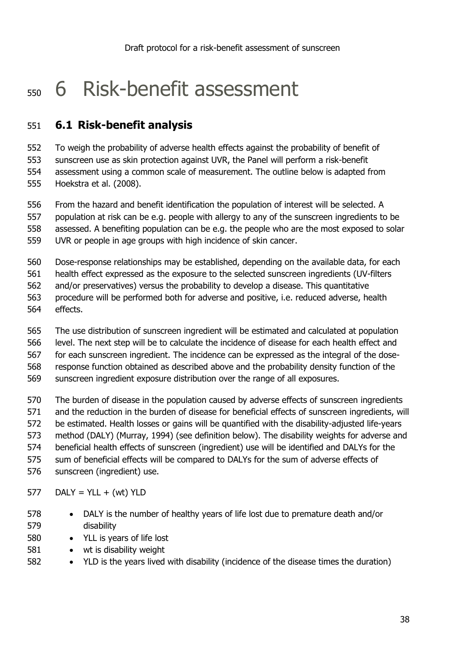## <span id="page-37-0"></span>6 Risk-benefit assessment

#### <span id="page-37-1"></span>**6.1 Risk-benefit analysis**

 To weigh the probability of adverse health effects against the probability of benefit of sunscreen use as skin protection against UVR, the Panel will perform a risk-benefit assessment using a common scale of measurement. The outline below is adapted from Hoekstra et al. (2008).

 From the hazard and benefit identification the population of interest will be selected. A population at risk can be e.g. people with allergy to any of the sunscreen ingredients to be assessed. A benefiting population can be e.g. the people who are the most exposed to solar UVR or people in age groups with high incidence of skin cancer.

Dose-response relationships may be established, depending on the available data, for each

health effect expressed as the exposure to the selected sunscreen ingredients (UV-filters

and/or preservatives) versus the probability to develop a disease. This quantitative

- procedure will be performed both for adverse and positive, i.e. reduced adverse, health effects.
- The use distribution of sunscreen ingredient will be estimated and calculated at population level. The next step will be to calculate the incidence of disease for each health effect and

for each sunscreen ingredient. The incidence can be expressed as the integral of the dose-

response function obtained as described above and the probability density function of the

sunscreen ingredient exposure distribution over the range of all exposures.

 The burden of disease in the population caused by adverse effects of sunscreen ingredients and the reduction in the burden of disease for beneficial effects of sunscreen ingredients, will be estimated. Health losses or gains will be quantified with the disability-adjusted life-years method (DALY) (Murray, 1994) (see definition below). The disability weights for adverse and beneficial health effects of sunscreen (ingredient) use will be identified and DALYs for the sum of beneficial effects will be compared to DALYs for the sum of adverse effects of sunscreen (ingredient) use.

DALY = YLL + (wt) YLD

- DALY is the number of healthy years of life lost due to premature death and/or disability
- 580 YLL is years of life lost
- 581 wt is disability weight
- YLD is the years lived with disability (incidence of the disease times the duration)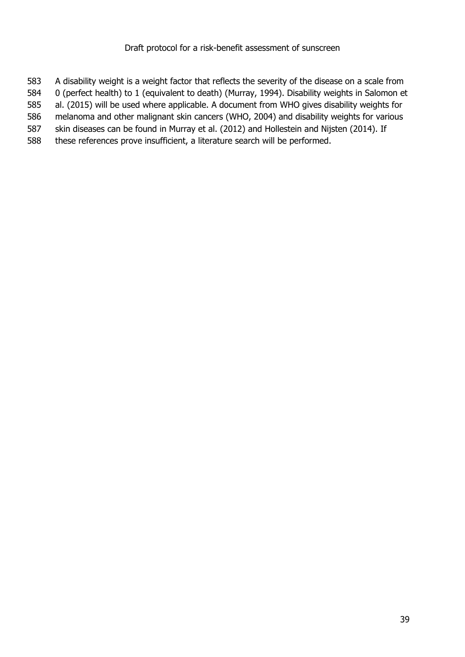A disability weight is a weight factor that reflects the severity of the disease on a scale from 0 (perfect health) to 1 (equivalent to death) (Murray, 1994). Disability weights in Salomon et al. (2015) will be used where applicable. A document from WHO gives disability weights for melanoma and other malignant skin cancers (WHO, 2004) and disability weights for various skin diseases can be found in Murray et al. (2012) and Hollestein and Nijsten (2014). If these references prove insufficient, a literature search will be performed.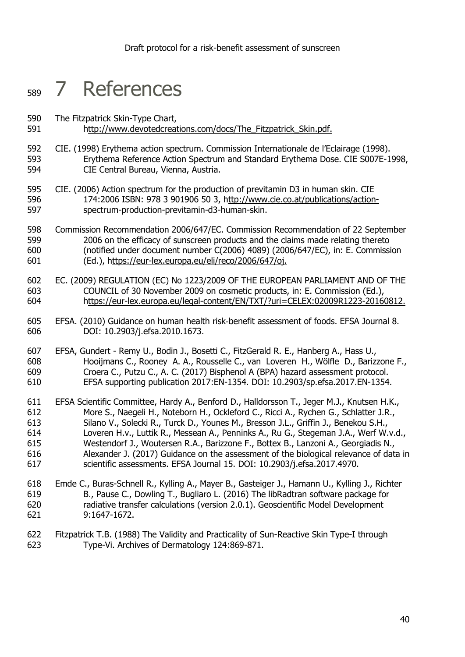## <span id="page-39-0"></span>7 References

- The Fitzpatrick Skin-Type Chart,
- [http://www.devotedcreations.com/docs/The\\_Fitzpatrick\\_Skin.pdf.](ttp://www.devotedcreations.com/docs/The_Fitzpatrick_Skin.pdf.)
- CIE. (1998) Erythema action spectrum. Commission Internationale de l'Eclairage (1998). Erythema Reference Action Spectrum and Standard Erythema Dose. CIE S007E-1998, CIE Central Bureau, Vienna, Austria.
- CIE. (2006) Action spectrum for the production of previtamin D3 in human skin. CIE 174:2006 ISBN: 978 3 901906 50 3, [http://www.cie.co.at/publications/action-](ttp://www.cie.co.at/publications/action-spectrum-production-previtamin-d3-human-skin.)[spectrum-production-previtamin-d3-human-skin.](ttp://www.cie.co.at/publications/action-spectrum-production-previtamin-d3-human-skin.)
- Commission Recommendation 2006/647/EC. Commission Recommendation of 22 September 2006 on the efficacy of sunscreen products and the claims made relating thereto (notified under document number C(2006) 4089) (2006/647/EC), in: E. Commission (Ed.), [https://eur-lex.europa.eu/eli/reco/2006/647/oj.](ttps://eur-lex.europa.eu/eli/reco/2006/647/oj.)
- EC. (2009) REGULATION (EC) No 1223/2009 OF THE EUROPEAN PARLIAMENT AND OF THE COUNCIL of 30 November 2009 on cosmetic products, in: E. Commission (Ed.), [https://eur-lex.europa.eu/legal-content/EN/TXT/?uri=CELEX:02009R1223-20160812.](ttps://eur-lex.europa.eu/legal-content/EN/TXT/?uri=CELEX:02009R1223-20160812.)
- EFSA. (2010) Guidance on human health risk‐benefit assessment of foods. EFSA Journal 8. DOI: 10.2903/j.efsa.2010.1673.
- EFSA, Gundert Remy U., Bodin J., Bosetti C., FitzGerald R. E., Hanberg A., Hass U., Hooijmans C., Rooney A. A., Rousselle C., van Loveren H., Wölfle D., Barizzone F., Croera C., Putzu C., A. C. (2017) Bisphenol A (BPA) hazard assessment protocol. EFSA supporting publication 2017:EN-1354. DOI: 10.2903/sp.efsa.2017.EN-1354.
- EFSA Scientific Committee, Hardy A., Benford D., Halldorsson T., Jeger M.J., Knutsen H.K., More S., Naegeli H., Noteborn H., Ockleford C., Ricci A., Rychen G., Schlatter J.R., Silano V., Solecki R., Turck D., Younes M., Bresson J.L., Griffin J., Benekou S.H., Loveren H.v., Luttik R., Messean A., Penninks A., Ru G., Stegeman J.A., Werf W.v.d., Westendorf J., Woutersen R.A., Barizzone F., Bottex B., Lanzoni A., Georgiadis N., Alexander J. (2017) Guidance on the assessment of the biological relevance of data in scientific assessments. EFSA Journal 15. DOI: 10.2903/j.efsa.2017.4970.
- Emde C., Buras-Schnell R., Kylling A., Mayer B., Gasteiger J., Hamann U., Kylling J., Richter B., Pause C., Dowling T., Bugliaro L. (2016) The libRadtran software package for radiative transfer calculations (version 2.0.1). Geoscientific Model Development 9:1647-1672.
- Fitzpatrick T.B. (1988) The Validity and Practicality of Sun-Reactive Skin Type-I through Type-Vi. Archives of Dermatology 124:869-871.